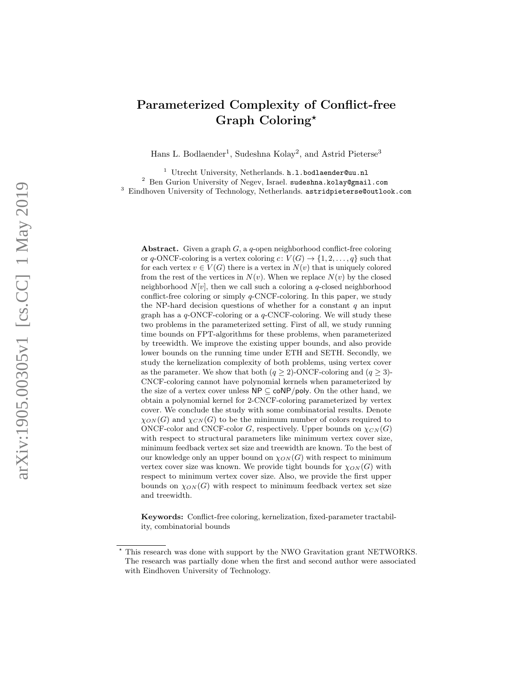# Parameterized Complexity of Conflict-free Graph Coloring\*

Hans L. Bodlaender<sup>1</sup>, Sudeshna Kolay<sup>2</sup>, and Astrid Pieterse<sup>3</sup>

<sup>1</sup> Utrecht University, Netherlands. h.l.bodlaender@uu.nl <sup>2</sup> Ben Gurion University of Negev, Israel. sudeshna.kolay@gmail.com <sup>3</sup> Eindhoven University of Technology, Netherlands. astridpieterse@outlook.com

Abstract. Given a graph  $G$ , a  $q$ -open neighborhood conflict-free coloring or q-ONCF-coloring is a vertex coloring  $c: V(G) \to \{1, 2, ..., q\}$  such that for each vertex  $v \in V(G)$  there is a vertex in  $N(v)$  that is uniquely colored from the rest of the vertices in  $N(v)$ . When we replace  $N(v)$  by the closed neighborhood  $N[v]$ , then we call such a coloring a q-closed neighborhood conflict-free coloring or simply q-CNCF-coloring. In this paper, we study the NP-hard decision questions of whether for a constant  $q$  an input graph has a  $q$ -ONCF-coloring or a  $q$ -CNCF-coloring. We will study these two problems in the parameterized setting. First of all, we study running time bounds on FPT-algorithms for these problems, when parameterized by treewidth. We improve the existing upper bounds, and also provide lower bounds on the running time under ETH and SETH. Secondly, we study the kernelization complexity of both problems, using vertex cover as the parameter. We show that both  $(q \ge 2)$ -ONCF-coloring and  $(q \ge 3)$ -CNCF-coloring cannot have polynomial kernels when parameterized by the size of a vertex cover unless  $\mathsf{NP} \subseteq \mathsf{coNP/poly}$ . On the other hand, we obtain a polynomial kernel for 2-CNCF-coloring parameterized by vertex cover. We conclude the study with some combinatorial results. Denote  $\chi_{ON}(G)$  and  $\chi_{CN}(G)$  to be the minimum number of colors required to ONCF-color and CNCF-color G, respectively. Upper bounds on  $\chi_{CN}(G)$ with respect to structural parameters like minimum vertex cover size, minimum feedback vertex set size and treewidth are known. To the best of our knowledge only an upper bound on  $\chi_{ON}(G)$  with respect to minimum vertex cover size was known. We provide tight bounds for  $\chi_{ON}(G)$  with respect to minimum vertex cover size. Also, we provide the first upper bounds on  $\chi_{ON}(G)$  with respect to minimum feedback vertex set size and treewidth.

Keywords: Conflict-free coloring, kernelization, fixed-parameter tractability, combinatorial bounds

This research was done with support by the NWO Gravitation grant NETWORKS. The research was partially done when the first and second author were associated with Eindhoven University of Technology.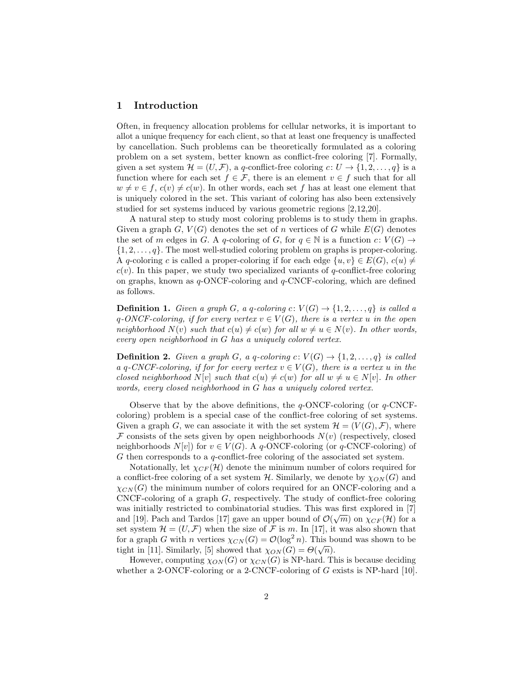# 1 Introduction

Often, in frequency allocation problems for cellular networks, it is important to allot a unique frequency for each client, so that at least one frequency is unaffected by cancellation. Such problems can be theoretically formulated as a coloring problem on a set system, better known as conflict-free coloring [\[7\]](#page-39-0). Formally, given a set system  $\mathcal{H} = (U, \mathcal{F})$ , a q-conflict-free coloring  $c: U \to \{1, 2, ..., q\}$  is a function where for each set  $f \in \mathcal{F}$ , there is an element  $v \in f$  such that for all  $w \neq v \in f$ ,  $c(v) \neq c(w)$ . In other words, each set f has at least one element that is uniquely colored in the set. This variant of coloring has also been extensively studied for set systems induced by various geometric regions [\[2,](#page-39-1)[12,](#page-40-0)[20\]](#page-40-1).

A natural step to study most coloring problems is to study them in graphs. Given a graph G,  $V(G)$  denotes the set of n vertices of G while  $E(G)$  denotes the set of m edges in G. A q-coloring of G, for  $q \in \mathbb{N}$  is a function  $c: V(G) \to$  $\{1, 2, \ldots, q\}$ . The most well-studied coloring problem on graphs is proper-coloring. A q-coloring c is called a proper-coloring if for each edge  $\{u, v\} \in E(G)$ ,  $c(u) \neq$  $c(v)$ . In this paper, we study two specialized variants of q-conflict-free coloring on graphs, known as  $q$ -ONCF-coloring and  $q$ -CNCF-coloring, which are defined as follows.

**Definition 1.** Given a graph G, a q-coloring  $c: V(G) \rightarrow \{1, 2, ..., q\}$  is called a q-ONCF-coloring, if for every vertex  $v \in V(G)$ , there is a vertex u in the open neighborhood  $N(v)$  such that  $c(u) \neq c(w)$  for all  $w \neq u \in N(v)$ . In other words, every open neighborhood in G has a uniquely colored vertex.

**Definition 2.** Given a graph G, a q-coloring  $c: V(G) \rightarrow \{1, 2, ..., q\}$  is called a q-CNCF-coloring, if for for every vertex  $v \in V(G)$ , there is a vertex u in the closed neighborhood  $N[v]$  such that  $c(u) \neq c(w)$  for all  $w \neq u \in N[v]$ . In other words, every closed neighborhood in G has a uniquely colored vertex.

Observe that by the above definitions, the  $q$ -ONCF-coloring (or  $q$ -CNCFcoloring) problem is a special case of the conflict-free coloring of set systems. Given a graph G, we can associate it with the set system  $\mathcal{H} = (V(G), \mathcal{F})$ , where F consists of the sets given by open neighborhoods  $N(v)$  (respectively, closed neighborhoods  $N[v]$  for  $v \in V(G)$ . A q-ONCF-coloring (or q-CNCF-coloring) of G then corresponds to a q-conflict-free coloring of the associated set system.

Notationally, let  $\chi_{CF}(\mathcal{H})$  denote the minimum number of colors required for a conflict-free coloring of a set system  $H$ . Similarly, we denote by  $\chi_{ON}(G)$  and  $\chi_{CN}(G)$  the minimum number of colors required for an ONCF-coloring and a CNCF-coloring of a graph  $G$ , respectively. The study of conflict-free coloring was initially restricted to combinatorial studies. This was first explored in [\[7\]](#page-39-0) and [\[19\]](#page-40-2). Pach and Tardos [\[17\]](#page-40-3) gave an upper bound of  $\mathcal{O}(\sqrt{m})$  on  $\chi_{CF}(\mathcal{H})$  for a set system  $\mathcal{H} = (U, \mathcal{F})$  when the size of  $\mathcal F$  is m. In [\[17\]](#page-40-3), it was also shown that for a graph G with n vertices  $\chi_{CN}(G) = \mathcal{O}(\log^2 n)$ . This bound was shown to be tight in [\[11\]](#page-40-4). Similarly, [\[5\]](#page-39-2) showed that  $\chi_{ON}(G) = \Theta(\sqrt{n}).$ 

However, computing  $\chi_{ON}(G)$  or  $\chi_{CN}(G)$  is NP-hard. This is because deciding whether a 2-ONCF-coloring or a 2-CNCF-coloring of G exists is NP-hard [\[10\]](#page-40-5).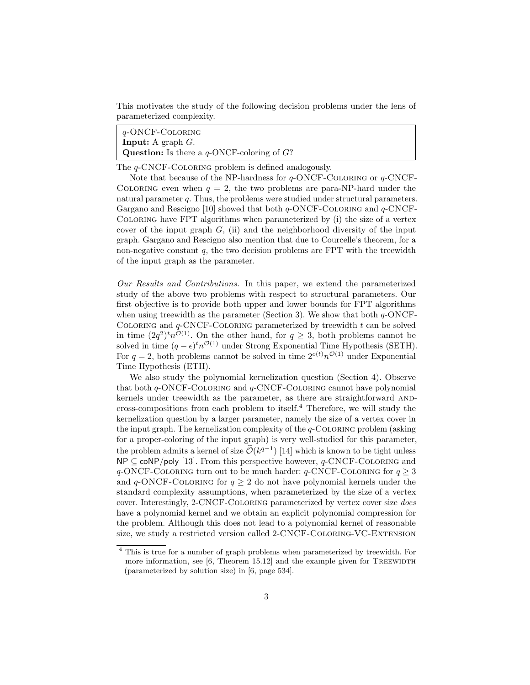This motivates the study of the following decision problems under the lens of parameterized complexity.

q-ONCF-Coloring **Input:** A graph  $G$ . **Question:** Is there a  $q$ -ONCF-coloring of  $G$ ?

The *q*-CNCF-COLORING problem is defined analogously.

Note that because of the NP-hardness for  $q$ -ONCF-COLORING or  $q$ -CNCF-COLORING even when  $q = 2$ , the two problems are para-NP-hard under the natural parameter q. Thus, the problems were studied under structural parameters. Gargano and Rescigno [\[10\]](#page-40-5) showed that both  $q$ -ONCF-COLORING and  $q$ -CNCF-Coloring have FPT algorithms when parameterized by (i) the size of a vertex cover of the input graph  $G$ , (ii) and the neighborhood diversity of the input graph. Gargano and Rescigno also mention that due to Courcelle's theorem, for a non-negative constant  $q$ , the two decision problems are FPT with the treewidth of the input graph as the parameter.

Our Results and Contributions. In this paper, we extend the parameterized study of the above two problems with respect to structural parameters. Our first objective is to provide both upper and lower bounds for FPT algorithms when using treewidth as the parameter (Section [3\)](#page-6-0). We show that both  $q$ -ONCF-COLORING and  $q$ -CNCF-COLORING parameterized by treewidth  $t$  can be solved in time  $(2q^2)^t n^{\mathcal{O}(1)}$ . On the other hand, for  $q \geq 3$ , both problems cannot be solved in time  $(q - \epsilon)^t n^{\mathcal{O}(1)}$  under Strong Exponential Time Hypothesis (SETH). For  $q = 2$ , both problems cannot be solved in time  $2^{o(t)}n^{\mathcal{O}(1)}$  under Exponential Time Hypothesis (ETH).

We also study the polynomial kernelization question (Section [4\)](#page-13-0). Observe that both  $q$ -ONCF-COLORING and  $q$ -CNCF-COLORING cannot have polynomial kernels under treewidth as the parameter, as there are straightforward ANDcross-compositions from each problem to itself. $4$  Therefore, we will study the kernelization question by a larger parameter, namely the size of a vertex cover in the input graph. The kernelization complexity of the  $q$ -COLORING problem (asking for a proper-coloring of the input graph) is very well-studied for this parameter, the problem admits a kernel of size  $\tilde{\mathcal{O}}(k^{q-1})$  [\[14\]](#page-40-6) which is known to be tight unless  $NP \subseteq \text{coNP/poly}$  [\[13\]](#page-40-7). From this perspective however,  $q$ -CNCF-COLORING and q-ONCF-COLORING turn out to be much harder:  $q$ -CNCF-COLORING for  $q \geq 3$ and  $q$ -ONCF-COLORING for  $q > 2$  do not have polynomial kernels under the standard complexity assumptions, when parameterized by the size of a vertex cover. Interestingly, 2-CNCF-Coloring parameterized by vertex cover size does have a polynomial kernel and we obtain an explicit polynomial compression for the problem. Although this does not lead to a polynomial kernel of reasonable size, we study a restricted version called 2-CNCF-Coloring-VC-Extension

<span id="page-2-0"></span><sup>4</sup> This is true for a number of graph problems when parameterized by treewidth. For more information, see  $[6,$  Theorem 15.12 and the example given for TREEWIDTH (parameterized by solution size) in [\[6,](#page-39-3) page 534].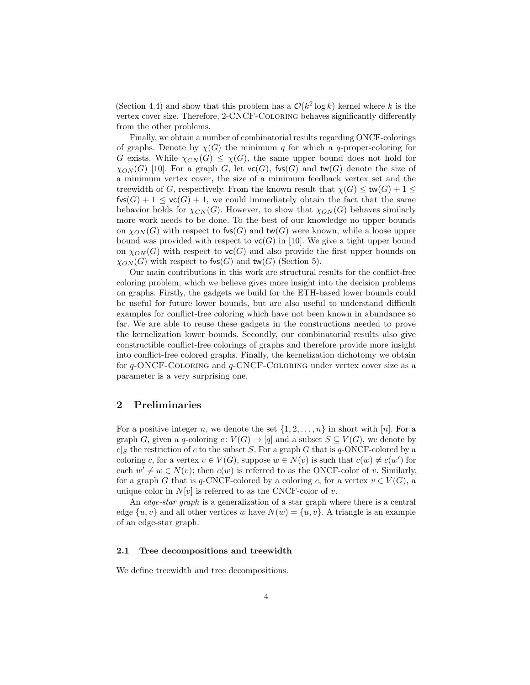(Section [4.4\)](#page-30-0) and show that this problem has a  $\mathcal{O}(k^2 \log k)$  kernel where k is the vertex cover size. Therefore, 2-CNCF-Coloring behaves significantly differently from the other problems.

Finally, we obtain a number of combinatorial results regarding ONCF-colorings of graphs. Denote by  $\chi(G)$  the minimum q for which a q-proper-coloring for G exists. While  $\chi_{CN}(G) \leq \chi(G)$ , the same upper bound does not hold for  $\chi_{ON}(G)$  [\[10\]](#page-40-5). For a graph G, let  $\textsf{vc}(G)$ ,  $\textsf{fvs}(G)$  and  $\textsf{tw}(G)$  denote the size of a minimum vertex cover, the size of a minimum feedback vertex set and the treewidth of G, respectively. From the known result that  $\chi(G) \leq \text{tw}(G) + 1 \leq$  $fvs(G) + 1 \leq v\mathsf{c}(G) + 1$ , we could immediately obtain the fact that the same behavior holds for  $\chi_{CN}(G)$ . However, to show that  $\chi_{ON}(G)$  behaves similarly more work needs to be done. To the best of our knowledge no upper bounds on  $\chi_{ON}(G)$  with respect to fvs(G) and tw(G) were known, while a loose upper bound was provided with respect to  $\mathsf{vc}(G)$  in [\[10\]](#page-40-5). We give a tight upper bound on  $\chi_{ON}(G)$  with respect to  $\mathsf{vc}(G)$  and also provide the first upper bounds on  $\chi_{ON}(G)$  with respect to fvs(G) and tw(G) (Section [5\)](#page-34-0).

Our main contributions in this work are structural results for the conflict-free coloring problem, which we believe gives more insight into the decision problems on graphs. Firstly, the gadgets we build for the ETH-based lower bounds could be useful for future lower bounds, but are also useful to understand difficult examples for conflict-free coloring which have not been known in abundance so far. We are able to reuse these gadgets in the constructions needed to prove the kernelization lower bounds. Secondly, our combinatorial results also give constructible conflict-free colorings of graphs and therefore provide more insight into conflict-free colored graphs. Finally, the kernelization dichotomy we obtain for  $q$ -ONCF-COLORING and  $q$ -CNCF-COLORING under vertex cover size as a parameter is a very surprising one.

## 2 Preliminaries

For a positive integer n, we denote the set  $\{1, 2, \ldots, n\}$  in short with [n]. For a graph G, given a q-coloring  $c: V(G) \to [q]$  and a subset  $S \subseteq V(G)$ , we denote by  $c|S$  the restriction of c to the subset S. For a graph G that is q-ONCF-colored by a coloring c, for a vertex  $v \in V(G)$ , suppose  $w \in N(v)$  is such that  $c(w) \neq c(w')$  for each  $w' \neq w \in N(v)$ ; then  $c(w)$  is referred to as the ONCF-color of v. Similarly, for a graph G that is q-CNCF-colored by a coloring c, for a vertex  $v \in V(G)$ , a unique color in  $N[v]$  is referred to as the CNCF-color of v.

An *edge-star graph* is a generalization of a star graph where there is a central edge  $\{u, v\}$  and all other vertices w have  $N(w) = \{u, v\}$ . A triangle is an example of an edge-star graph.

#### 2.1 Tree decompositions and treewidth

We define treewidth and tree decompositions.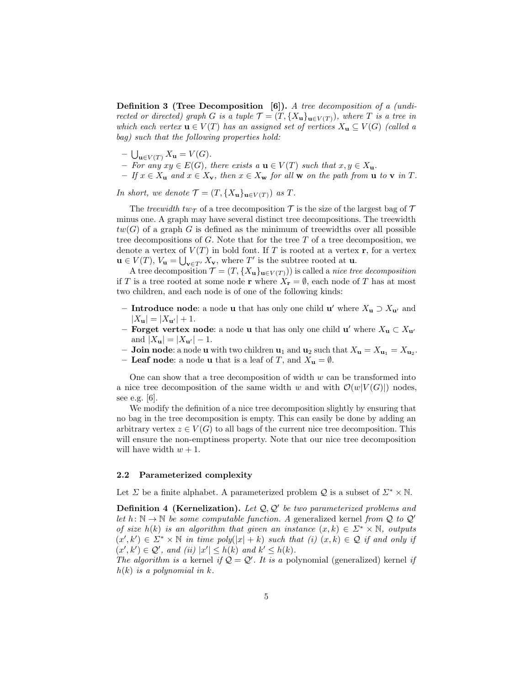Definition 3 (Tree Decomposition [\[6\]](#page-39-3)). A tree decomposition of a (undirected or directed) graph G is a tuple  $\mathcal{T} = (T, \{X_{\mathbf{u}}\}_{\mathbf{u}\in V(T)})$ , where T is a tree in which each vertex  $\mathbf{u} \in V(T)$  has an assigned set of vertices  $X_{\mathbf{u}} \subseteq V(G)$  (called a bag) such that the following properties hold:

- $\bigcup_{\mathbf{u}\in V(T)} X_{\mathbf{u}} = V(G).$
- For any  $xy \in E(G)$ , there exists a  $\mathbf{u} \in V(T)$  such that  $x, y \in X_{\mathbf{u}}$ .
- $-If x \in X_{\mathbf{u}}$  and  $x \in X_{\mathbf{v}}$ , then  $x \in X_{\mathbf{w}}$  for all  $\mathbf{w}$  on the path from  $\mathbf{u}$  to  $\mathbf{v}$  in  $T$ .

In short, we denote  $\mathcal{T} = (T, \{X_{\mathbf{u}}\}_{\mathbf{u}\in V(T)})$  as  $T$ .

The treewidth tw $\tau$  of a tree decomposition  $\tau$  is the size of the largest bag of  $\tau$ minus one. A graph may have several distinct tree decompositions. The treewidth  $tw(G)$  of a graph G is defined as the minimum of treewidths over all possible tree decompositions of  $G$ . Note that for the tree  $T$  of a tree decomposition, we denote a vertex of  $V(T)$  in bold font. If T is rooted at a vertex r, for a vertex  $\mathbf{u} \in V(T)$ ,  $V_{\mathbf{u}} = \bigcup_{\mathbf{v} \in T'} X_{\mathbf{v}}$ , where  $T'$  is the subtree rooted at  $\mathbf{u}$ .

A tree decomposition  $\mathcal{T} = (T, \{X_{\mathbf{u}}\}_{\mathbf{u}\in V(T)})$  is called a *nice tree decomposition* if T is a tree rooted at some node r where  $X_{\mathbf{r}} = \emptyset$ , each node of T has at most two children, and each node is of one of the following kinds:

- Introduce node: a node u that has only one child u' where  $X_u$  ⊃  $X_{u'}$  and  $|X_{\mathbf{u}}| = |X_{\mathbf{u}'}| + 1.$
- Forget vertex node: a node u that has only one child  $\mathbf{u}'$  where  $X_{\mathbf{u}} \subset X_{\mathbf{u}'}$ and  $|X_{\mathbf{u}}| = |X_{\mathbf{u}'}| - 1$ .
- **Join node:** a node **u** with two children  $\mathbf{u}_1$  and  $\mathbf{u}_2$  such that  $X_{\mathbf{u}} = X_{\mathbf{u}_1} = X_{\mathbf{u}_2}$ .
- Leaf node: a node u that is a leaf of T, and  $X_{\mathbf{u}} = \emptyset$ .

One can show that a tree decomposition of width  $w$  can be transformed into a nice tree decomposition of the same width w and with  $\mathcal{O}(w|V(G)|)$  nodes. see e.g. [\[6\]](#page-39-3).

We modify the definition of a nice tree decomposition slightly by ensuring that no bag in the tree decomposition is empty. This can easily be done by adding an arbitrary vertex  $z \in V(G)$  to all bags of the current nice tree decomposition. This will ensure the non-emptiness property. Note that our nice tree decomposition will have width  $w + 1$ .

#### 2.2 Parameterized complexity

Let  $\Sigma$  be a finite alphabet. A parameterized problem  $\mathcal Q$  is a subset of  $\Sigma^* \times \mathbb N$ .

**Definition 4 (Kernelization).** Let  $Q$ ,  $Q'$  be two parameterized problems and let  $h: \mathbb{N} \to \mathbb{N}$  be some computable function. A generalized kernel from Q to Q' of size h(k) is an algorithm that given an instance  $(x, k) \in \Sigma^* \times \mathbb{N}$ , outputs  $(x',k') \in \Sigma^* \times \mathbb{N}$  in time poly $(|x|+k)$  such that  $(i)$   $(x,k) \in \mathcal{Q}$  if and only if  $(x',k') \in \mathcal{Q}'$ , and (ii)  $|x'| \leq h(k)$  and  $k' \leq h(k)$ .

The algorithm is a kernel if  $Q = Q'$ . It is a polynomial (generalized) kernel if  $h(k)$  is a polynomial in k.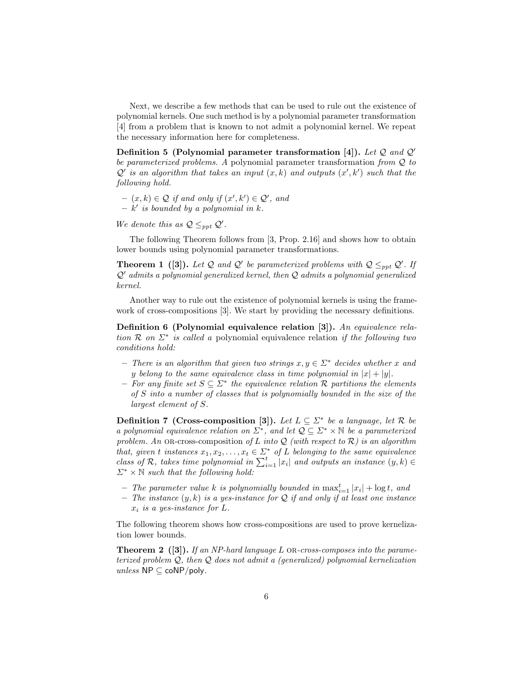Next, we describe a few methods that can be used to rule out the existence of polynomial kernels. One such method is by a polynomial parameter transformation [\[4\]](#page-39-4) from a problem that is known to not admit a polynomial kernel. We repeat the necessary information here for completeness.

Definition 5 (Polynomial parameter transformation [\[4\]](#page-39-4)). Let  $Q$  and  $Q'$ be parameterized problems. A polynomial parameter transformation from  $Q$  to  $\mathcal{Q}'$  is an algorithm that takes an input  $(x, k)$  and outputs  $(x', k')$  such that the following hold.

 $- (x, k) \in \mathcal{Q}$  if and only if  $(x', k') \in \mathcal{Q}'$ , and  $- k'$  is bounded by a polynomial in k.

We denote this as  $Q \leq_{ppt} Q'$ .

<span id="page-5-3"></span>The following Theorem follows from [\[3,](#page-39-5) Prop. 2.16] and shows how to obtain lower bounds using polynomial parameter transformations.

**Theorem 1** ([\[3\]](#page-39-5)). Let Q and Q' be parameterized problems with  $Q \leq_{ppt} Q'$ . If  $Q'$  admits a polynomial generalized kernel, then  $Q$  admits a polynomial generalized kernel.

Another way to rule out the existence of polynomial kernels is using the framework of cross-compositions [\[3\]](#page-39-5). We start by providing the necessary definitions.

<span id="page-5-2"></span>Definition 6 (Polynomial equivalence relation [\[3\]](#page-39-5)). An equivalence relation  $\mathcal R$  on  $\Sigma^*$  is called a polynomial equivalence relation if the following two conditions hold:

- There is an algorithm that given two strings  $x, y \in \Sigma^*$  decides whether x and y belong to the same equivalence class in time polynomial in  $|x| + |y|$ .
- $-$  For any finite set  $S \subseteq \Sigma^*$  the equivalence relation R partitions the elements of S into a number of classes that is polynomially bounded in the size of the largest element of S.

<span id="page-5-0"></span>**Definition 7** (Cross-composition [\[3\]](#page-39-5)). Let  $L \subseteq \Sigma^*$  be a language, let R be a polynomial equivalence relation on  $\Sigma^*$ , and let  $\mathcal{Q} \subseteq \Sigma^* \times \mathbb{N}$  be a parameterized problem. An OR-cross-composition of L into Q (with respect to  $\mathcal{R}$ ) is an algorithm that, given t instances  $x_1, x_2, \ldots, x_t \in \Sigma^*$  of L belonging to the same equivalence class of R, takes time polynomial in  $\sum_{i=1}^{t} |x_i|$  and outputs an instance  $(y, k) \in$  $\Sigma^* \times \mathbb{N}$  such that the following hold:

- The parameter value k is polynomially bounded in  $\max_{i=1}^{t} |x_i| + \log t$ , and
- The instance  $(y, k)$  is a yes-instance for Q if and only if at least one instance  $x_i$  is a yes-instance for  $L$ .

<span id="page-5-1"></span>The following theorem shows how cross-compositions are used to prove kernelization lower bounds.

**Theorem 2** ([\[3\]](#page-39-5)). If an NP-hard language L OR-cross-composes into the parameterized problem  $Q$ , then  $Q$  does not admit a (generalized) polynomial kernelization  $unless NP \subseteq coNP/poly.$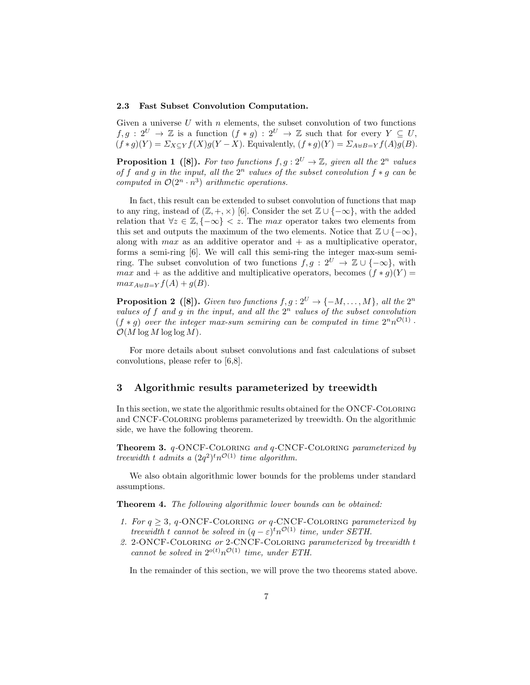#### 2.3 Fast Subset Convolution Computation.

Given a universe  $U$  with  $n$  elements, the subset convolution of two functions  $f, g : 2^U \to \mathbb{Z}$  is a function  $(f * g) : 2^U \to \mathbb{Z}$  such that for every  $Y \subseteq U$ ,  $(f*g)(Y) = \sum_{X\subseteq Y} f(X)g(Y-X)$ . Equivalently,  $(f*g)(Y) = \sum_{A\uplus B=Y} f(A)g(B)$ .

**Proposition 1** ([\[8\]](#page-39-6)). For two functions  $f, g: 2^U \to \mathbb{Z}$ , given all the  $2^n$  values of f and g in the input, all the  $2^n$  values of the subset convolution  $f * g$  can be computed in  $\mathcal{O}(2^n \cdot n^3)$  arithmetic operations.

In fact, this result can be extended to subset convolution of functions that map to any ring, instead of  $(\mathbb{Z}, +, \times)$  [\[6\]](#page-39-3). Consider the set  $\mathbb{Z} \cup \{-\infty\}$ , with the added relation that  $\forall z \in \mathbb{Z}, \{-\infty\} < z$ . The max operator takes two elements from this set and outputs the maximum of the two elements. Notice that  $\mathbb{Z} \cup \{-\infty\},$ along with max as an additive operator and  $+$  as a multiplicative operator, forms a semi-ring [\[6\]](#page-39-3). We will call this semi-ring the integer max-sum semiring. The subset convolution of two functions  $\tilde{f}, g : 2^U \rightarrow \mathbb{Z} \cup \{-\infty\}$ , with max and + as the additive and multiplicative operators, becomes  $(f * q)(Y) =$  $max_{A\uplus B=Y} f(A) + q(B).$ 

**Proposition 2** ([\[8\]](#page-39-6)). Given two functions  $f, g: 2^U \to \{-M, \ldots, M\}$ , all the  $2^n$ values of f and g in the input, and all the  $2^n$  values of the subset convolution  $(f * g)$  over the integer max-sum semiring can be computed in time  $2^n n^{\mathcal{O}(1)}$ .  $\mathcal{O}(M \log M \log \log M)$ .

For more details about subset convolutions and fast calculations of subset convolutions, please refer to [\[6,](#page-39-3)[8\]](#page-39-6).

## <span id="page-6-0"></span>3 Algorithmic results parameterized by treewidth

In this section, we state the algorithmic results obtained for the ONCF-Coloring and CNCF-Coloring problems parameterized by treewidth. On the algorithmic side, we have the following theorem.

<span id="page-6-1"></span>Theorem 3. q-ONCF-COLORING and q-CNCF-COLORING parameterized by treewidth t admits a  $(2q^2)^t n^{\mathcal{O}(1)}$  time algorithm.

We also obtain algorithmic lower bounds for the problems under standard assumptions.

<span id="page-6-2"></span>Theorem 4. The following algorithmic lower bounds can be obtained:

- 1. For  $q \geq 3$ , q-ONCF-COLORING or q-CNCF-COLORING parameterized by treewidth t cannot be solved in  $(q - \varepsilon)^t n^{\mathcal{O}(1)}$  time, under SETH.
- 2. 2-ONCF-Coloring or 2-CNCF-Coloring parameterized by treewidth t cannot be solved in  $2^{o(t)}n^{\mathcal{O}(1)}$  time, under ETH.

In the remainder of this section, we will prove the two theorems stated above.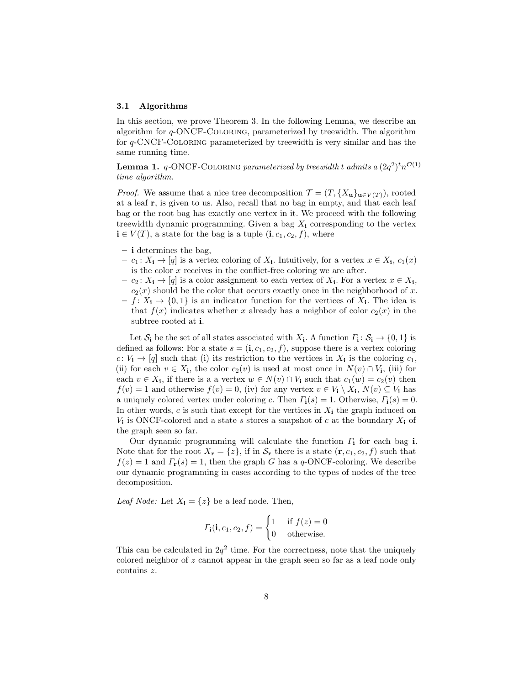#### 3.1 Algorithms

In this section, we prove Theorem [3.](#page-6-1) In the following Lemma, we describe an algorithm for q-ONCF-Coloring, parameterized by treewidth. The algorithm for q-CNCF-Coloring parameterized by treewidth is very similar and has the same running time.

**Lemma 1.** q-ONCF-COLORING parameterized by treewidth t admits a  $(2q^2)^t n^{\mathcal{O}(1)}$ time algorithm.

*Proof.* We assume that a nice tree decomposition  $\mathcal{T} = (T, \{X_{\mathbf{u}}\}_{\mathbf{u}\in V(T)})$ , rooted at a leaf r, is given to us. Also, recall that no bag in empty, and that each leaf bag or the root bag has exactly one vertex in it. We proceed with the following treewidth dynamic programming. Given a bag  $X_i$  corresponding to the vertex  $\mathbf{i} \in V(T)$ , a state for the bag is a tuple  $(\mathbf{i}, c_1, c_2, f)$ , where

- i determines the bag,
- $c_1: X_{\mathbf{i}} \to [q]$  is a vertex coloring of  $X_{\mathbf{i}}$ . Intuitively, for a vertex  $x \in X_{\mathbf{i}}$ ,  $c_1(x)$ is the color  $x$  receives in the conflict-free coloring we are after.
- $c_2 \colon X_{\mathbf{i}} \to [q]$  is a color assignment to each vertex of  $X_{\mathbf{i}}$ . For a vertex  $x \in X_{\mathbf{i}}$ ,  $c_2(x)$  should be the color that occurs exactly once in the neighborhood of x.
- $f: X_{i} \to \{0,1\}$  is an indicator function for the vertices of  $X_{i}$ . The idea is that  $f(x)$  indicates whether x already has a neighbor of color  $c_2(x)$  in the subtree rooted at i.

Let  $S_i$  be the set of all states associated with  $X_i$ . A function  $\Gamma_i: S_i \to \{0,1\}$  is defined as follows: For a state  $s = (i, c_1, c_2, f)$ , suppose there is a vertex coloring  $c: V_{i} \rightarrow [q]$  such that (i) its restriction to the vertices in  $X_{i}$  is the coloring  $c_{1}$ , (ii) for each  $v \in X_i$ , the color  $c_2(v)$  is used at most once in  $N(v) \cap V_i$ , (iii) for each  $v \in X_i$ , if there is a a vertex  $w \in N(v) \cap V_i$  such that  $c_1(w) = c_2(v)$  then  $f(v) = 1$  and otherwise  $f(v) = 0$ , (iv) for any vertex  $v \in V_i \setminus X_i$ ,  $N(v) \subseteq V_i$  has a uniquely colored vertex under coloring c. Then  $\Gamma_i(s) = 1$ . Otherwise,  $\Gamma_i(s) = 0$ . In other words, c is such that except for the vertices in  $X_i$  the graph induced on  $V_i$  is ONCF-colored and a state s stores a snapshot of c at the boundary  $X_i$  of the graph seen so far.

Our dynamic programming will calculate the function  $\Gamma_i$  for each bag i. Note that for the root  $X_{\mathbf{r}} = \{z\}$ , if in  $\mathcal{S}_{\mathbf{r}}$  there is a state  $(\mathbf{r}, c_1, c_2, f)$  such that  $f(z) = 1$  and  $\Gamma_{\mathbf{r}}(s) = 1$ , then the graph G has a q-ONCF-coloring. We describe our dynamic programming in cases according to the types of nodes of the tree decomposition.

Leaf Node: Let  $X_i = \{z\}$  be a leaf node. Then,

$$
\varGamma_{\mathbf{i}}(\mathbf{i}, c_1, c_2, f) = \begin{cases} 1 & \text{if } f(z) = 0 \\ 0 & \text{otherwise.} \end{cases}
$$

This can be calculated in  $2q^2$  time. For the correctness, note that the uniquely colored neighbor of z cannot appear in the graph seen so far as a leaf node only contains z.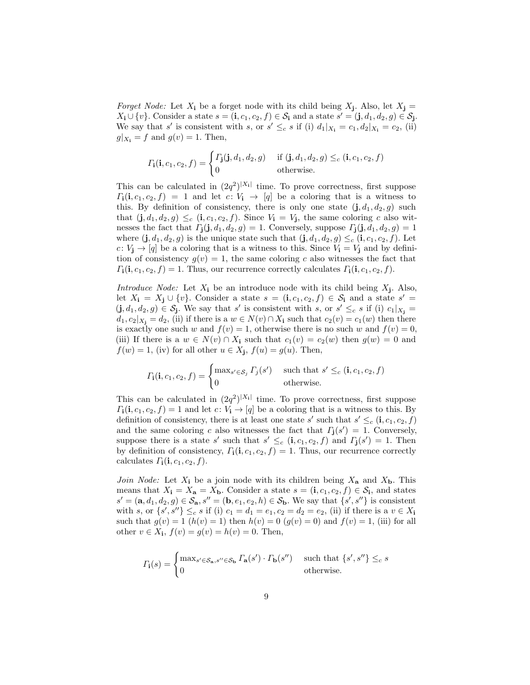*Forget Node:* Let  $X_i$  be a forget node with its child being  $X_j$ . Also, let  $X_j =$  $X_i \cup \{v\}$ . Consider a state  $s = (\mathbf{i}, c_1, c_2, f) \in \mathcal{S}_{\mathbf{i}}$  and a state  $s' = (\mathbf{j}, d_1, d_2, g) \in \mathcal{S}_{\mathbf{j}}$ . We say that s' is consistent with s, or  $s' \leq_c s$  if (i)  $d_1|_{X_i} = c_1, d_2|_{X_i} = c_2$ , (ii)  $g|_{X_i} = f$  and  $g(v) = 1$ . Then,

$$
\Gamma_{\mathbf{i}}(\mathbf{i}, c_1, c_2, f) = \begin{cases} \Gamma_{\mathbf{j}}(\mathbf{j}, d_1, d_2, g) & \text{if } (\mathbf{j}, d_1, d_2, g) \leq_c (\mathbf{i}, c_1, c_2, f) \\ 0 & \text{otherwise.} \end{cases}
$$

This can be calculated in  $(2q^2)^{|X_1|}$  time. To prove correctness, first suppose  $\Gamma_1(i, c_1, c_2, f) = 1$  and let  $c: V_i \rightarrow [q]$  be a coloring that is a witness to this. By definition of consistency, there is only one state  $(i, d_1, d_2, g)$  such that  $(j, d_1, d_2, g) \leq_c (i, c_1, c_2, f)$ . Since  $V_i = V_j$ , the same coloring c also witnesses the fact that  $\Gamma_{\mathbf{j}}(\mathbf{j}, d_1, d_2, g) = 1$ . Conversely, suppose  $\Gamma_{\mathbf{j}}(\mathbf{j}, d_1, d_2, g) = 1$ where  $(\mathbf{j}, d_1, d_2, g)$  is the unique state such that  $(\mathbf{j}, d_1, d_2, g) \leq_c (\mathbf{i}, c_1, c_2, f)$ . Let c:  $V_i \rightarrow [q]$  be a coloring that is a witness to this. Since  $V_i = V_i$  and by definition of consistency  $g(v) = 1$ , the same coloring c also witnesses the fact that  $\Gamma_{\bf i}({\bf i}, c_1, c_2, f) = 1$ . Thus, our recurrence correctly calculates  $\Gamma_{\bf i}({\bf i}, c_1, c_2, f)$ .

Introduce Node: Let  $X_i$  be an introduce node with its child being  $X_j$ . Also, let  $X_i = X_j \cup \{v\}$ . Consider a state  $s = (i, c_1, c_2, f) \in S_i$  and a state  $s' =$  $(j, d_1, d_2, g) \in \mathcal{S}_j$ . We say that s' is consistent with s, or  $s' \leq_c s$  if (i)  $c_1|_{X_j} =$  $d_1, c_2|_{X_i} = d_2$ , (ii) if there is a  $w \in N(v) \cap X_i$  such that  $c_2(v) = c_1(w)$  then there is exactly one such w and  $f(v) = 1$ , otherwise there is no such w and  $f(v) = 0$ , (iii) If there is a  $w \in N(v) \cap X_i$  such that  $c_1(v) = c_2(w)$  then  $g(w) = 0$  and  $f(w) = 1$ , (iv) for all other  $u \in X_j$ ,  $f(u) = g(u)$ . Then,

$$
\Gamma_{\mathbf{i}}(\mathbf{i}, c_1, c_2, f) = \begin{cases} \max_{s' \in \mathcal{S}_j} \Gamma_j(s') & \text{such that } s' \leq_c (\mathbf{i}, c_1, c_2, f) \\ 0 & \text{otherwise.} \end{cases}
$$

This can be calculated in  $(2q^2)^{|X_1|}$  time. To prove correctness, first suppose  $\Gamma_1(i, c_1, c_2, f) = 1$  and let  $c: V_i \rightarrow [q]$  be a coloring that is a witness to this. By definition of consistency, there is at least one state s' such that  $s' \leq_c (\mathbf{i}, c_1, c_2, f)$ and the same coloring c also witnesses the fact that  $\Gamma_j(s') = 1$ . Conversely, suppose there is a state s' such that  $s' \leq_c (i, c_1, c_2, f)$  and  $\Gamma_j(s') = 1$ . Then by definition of consistency,  $\Gamma_i(i, c_1, c_2, f) = 1$ . Thus, our recurrence correctly calculates  $\Gamma_{\mathbf{i}}(\mathbf{i}, c_1, c_2, f)$ .

Join Node: Let  $X_i$  be a join node with its children being  $X_a$  and  $X_b$ . This means that  $X_i = X_a = X_b$ . Consider a state  $s = (i, c_1, c_2, f) \in S_i$ , and states  $s' = (\mathbf{a}, d_1, d_2, g) \in \mathcal{S}_{\mathbf{a}}, s'' = (\mathbf{b}, e_1, e_2, h) \in \mathcal{S}_{\mathbf{b}}$ . We say that  $\{s', s''\}$  is consistent with s, or  $\{s', s''\}\leq_c s$  if (i)  $c_1 = d_1 = e_1, c_2 = d_2 = e_2$ , (ii) if there is a  $v \in X_i$ such that  $g(v) = 1$   $(h(v) = 1)$  then  $h(v) = 0$   $(g(v) = 0)$  and  $f(v) = 1$ , (iii) for all other  $v \in X_i$ ,  $f(v) = g(v) = h(v) = 0$ . Then,

$$
\varGamma_{\mathbf{i}}(s) = \begin{cases} \max_{s' \in \mathcal{S}_{\mathbf{a}}, s'' \in \mathcal{S}_{\mathbf{b}}} \varGamma_{\mathbf{a}}(s') \cdot \varGamma_{\mathbf{b}}(s'') & \text{such that } \{s', s''\} \leq_{c} s \\ 0 & \text{otherwise.} \end{cases}
$$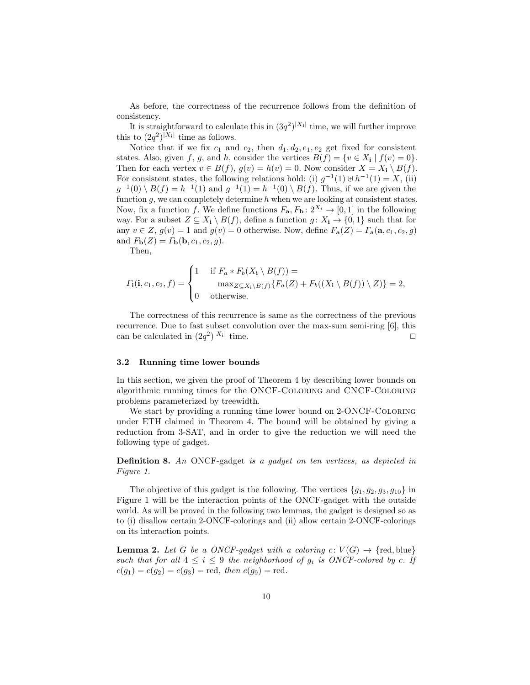As before, the correctness of the recurrence follows from the definition of consistency.

It is straightforward to calculate this in  $(3q^2)^{|X_1|}$  time, we will further improve this to  $(2q^2)^{|X_i|}$  time as follows.

Notice that if we fix  $c_1$  and  $c_2$ , then  $d_1, d_2, e_1, e_2$  get fixed for consistent states. Also, given f, g, and h, consider the vertices  $B(f) = \{v \in X_i \mid f(v) = 0\}.$ Then for each vertex  $v \in B(f)$ ,  $g(v) = h(v) = 0$ . Now consider  $X = X_i \setminus B(f)$ . For consistent states, the following relations hold: (i)  $g^{-1}(1) \oplus h^{-1}(1) = X$ , (ii)  $g^{-1}(0) \setminus B(f) = h^{-1}(1)$  and  $g^{-1}(1) = h^{-1}(0) \setminus B(f)$ . Thus, if we are given the function  $g$ , we can completely determine  $h$  when we are looking at consistent states. Now, fix a function f. We define functions  $F_{\mathbf{a}}, F_{\mathbf{b}} : 2^{X_i} \to [0,1]$  in the following way. For a subset  $Z \subseteq X_i \setminus B(f)$ , define a function  $g: X_i \to \{0, 1\}$  such that for any  $v \in Z$ ,  $g(v) = 1$  and  $g(v) = 0$  otherwise. Now, define  $F_{\mathbf{a}}(Z) = \Gamma_{\mathbf{a}}(\mathbf{a}, c_1, c_2, g)$ and  $F_{\mathbf{b}}(Z) = \Gamma_{\mathbf{b}}(\mathbf{b}, c_1, c_2, g)$ .

Then,

$$
\varGamma_{\mathbf{i}}(\mathbf{i},c_1,c_2,f) = \begin{cases}\n1 & \text{if } F_a * F_b(X_{\mathbf{i}} \setminus B(f)) = \\
& \max_{Z \subseteq X_{\mathbf{i}} \setminus B(f)} \{F_a(Z) + F_b((X_{\mathbf{i}} \setminus B(f)) \setminus Z)\} = 2, \\
0 & \text{otherwise.}\n\end{cases}
$$

The correctness of this recurrence is same as the correctness of the previous recurrence. Due to fast subset convolution over the max-sum semi-ring [\[6\]](#page-39-3), this can be calculated in  $(2q^2)^{|X_i|}$ time.  $\square$ 

### 3.2 Running time lower bounds

In this section, we given the proof of Theorem [4](#page-6-2) by describing lower bounds on algorithmic running times for the ONCF-Coloring and CNCF-Coloring problems parameterized by treewidth.

We start by providing a running time lower bound on 2-ONCF-COLORING under ETH claimed in Theorem [4.](#page-6-2) The bound will be obtained by giving a reduction from 3-SAT, and in order to give the reduction we will need the following type of gadget.

<span id="page-9-0"></span>Definition 8. An ONCF-gadget is a gadget on ten vertices, as depicted in Figure [1.](#page-10-0)

The objective of this gadget is the following. The vertices  $\{g_1, g_2, g_3, g_{10}\}\$ in Figure [1](#page-10-0) will be the interaction points of the ONCF-gadget with the outside world. As will be proved in the following two lemmas, the gadget is designed so as to (i) disallow certain 2-ONCF-colorings and (ii) allow certain 2-ONCF-colorings on its interaction points.

<span id="page-9-1"></span>**Lemma 2.** Let G be a ONCF-gadget with a coloring  $c: V(G) \to \{red, blue\}$ such that for all  $4 \leq i \leq 9$  the neighborhood of  $g_i$  is ONCF-colored by c. If  $c(g_1) = c(g_2) = c(g_3) = \text{red}, \text{ then } c(g_9) = \text{red}.$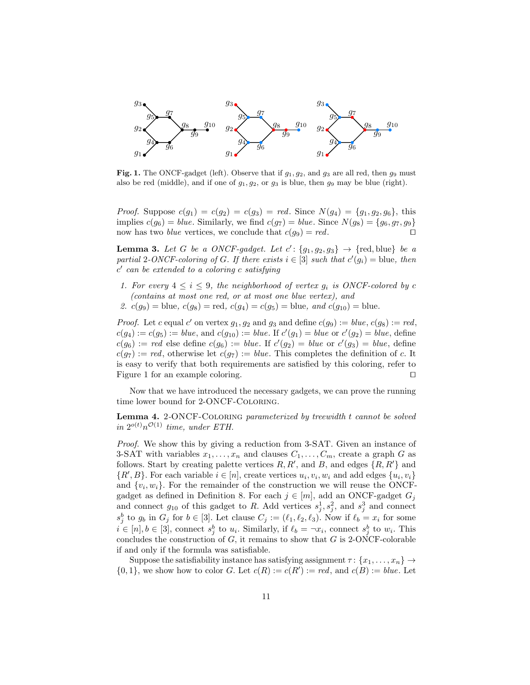

<span id="page-10-0"></span>Fig. 1. The ONCF-gadget (left). Observe that if  $g_1, g_2$ , and  $g_3$  are all red, then  $g_9$  must also be red (middle), and if one of  $g_1, g_2,$  or  $g_3$  is blue, then  $g_9$  may be blue (right).

*Proof.* Suppose  $c(g_1) = c(g_2) = c(g_3) = red$ . Since  $N(g_4) = \{g_1, g_2, g_6\}$ , this implies  $c(g_6) = blue$ . Similarly, we find  $c(g_7) = blue$ . Since  $N(g_8) = \{g_6, g_7, g_9\}$ now has two *blue* vertices, we conclude that  $c(g_9) = red$ .

<span id="page-10-1"></span>**Lemma 3.** Let G be a ONCF-gadget. Let  $c'$ :  $\{g_1, g_2, g_3\}$   $\rightarrow$  {red, blue} be a partial 2-ONCF-coloring of G. If there exists  $i \in [3]$  such that  $c'(g_i) =$  blue, then  $c'$  can be extended to a coloring c satisfying

1. For every  $4 \leq i \leq 9$ , the neighborhood of vertex  $g_i$  is ONCF-colored by c (contains at most one red, or at most one blue vertex), and 2.  $c(g_9) =$  blue,  $c(g_8) =$  red,  $c(g_4) = c(g_5) =$  blue, and  $c(g_{10}) =$  blue.

<span id="page-10-3"></span>*Proof.* Let c equal c' on vertex  $g_1, g_2$  and  $g_3$  and define  $c(g_9) := blue, c(g_8) := red$ ,  $c(g_4) := c(g_5) := blue$ , and  $c(g_{10}) := blue$ . If  $c'(g_1) = blue$  or  $c'(g_2) = blue$ , define  $c(g_6) := red$  else define  $c(g_6) := blue$ . If  $c'(g_2) = blue$  or  $c'(g_3) = blue$ , define  $c(g_7) := red$ , otherwise let  $c(g_7) := blue$ . This completes the definition of c. It is easy to verify that both requirements are satisfied by this coloring, refer to Figure [1](#page-10-0) for an example coloring.  $\square$ 

<span id="page-10-2"></span>Now that we have introduced the necessary gadgets, we can prove the running time lower bound for 2-ONCF-Coloring.

Lemma 4. 2-ONCF-COLORING parameterized by treewidth t cannot be solved in  $2^{o(t)}n^{\mathcal{O}(1)}$  time, under ETH.

Proof. We show this by giving a reduction from 3-SAT. Given an instance of 3-SAT with variables  $x_1, \ldots, x_n$  and clauses  $C_1, \ldots, C_m$ , create a graph G as follows. Start by creating palette vertices  $R, R'$ , and  $B$ , and edges  $\{R, R'\}$  and  $\{R', B\}$ . For each variable  $i \in [n]$ , create vertices  $u_i, v_i, w_i$  and add edges  $\{u_i, v_i\}$ and  $\{v_i, w_i\}$ . For the remainder of the construction we will reuse the ONCF-gadget as defined in Definition [8.](#page-9-0) For each  $j \in [m]$ , add an ONCF-gadget  $G_j$ and connect  $g_{10}$  of this gadget to R. Add vertices  $s_j^1, s_j^2$ , and  $s_j^3$  and connect  $s_j^b$  to  $g_b$  in  $G_j$  for  $b \in [3]$ . Let clause  $C_j := (\ell_1, \ell_2, \ell_3)$ . Now if  $\ell_b = x_i$  for some  $i \in [n], b \in [3]$ , connect  $s_j^b$  to  $u_i$ . Similarly, if  $\ell_b = \neg x_i$ , connect  $s_j^b$  to  $w_i$ . This concludes the construction of  $G$ , it remains to show that  $G$  is 2-ONCF-colorable if and only if the formula was satisfiable.

Suppose the satisfiability instance has satisfying assignment  $\tau : \{x_1, \ldots, x_n\} \rightarrow$  $\{0,1\}$ , we show how to color G. Let  $c(R) := c(R') := red$ , and  $c(B) := blue$ . Let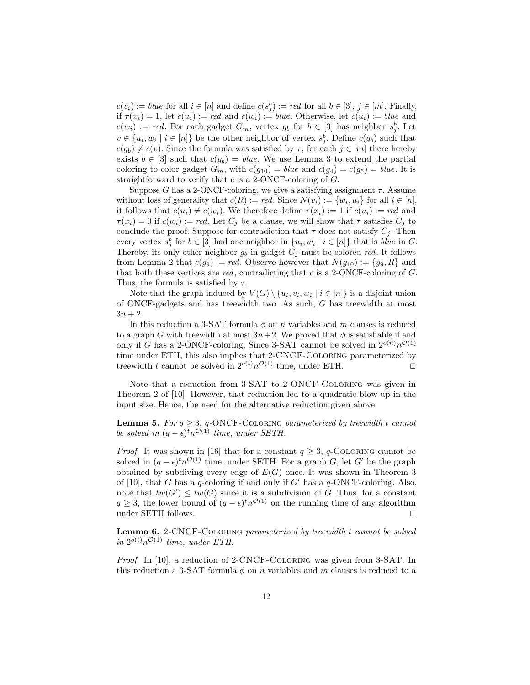$c(v_i) := \text{blue}$  for all  $i \in [n]$  and define  $c(s_j^b) := \text{red}$  for all  $b \in [3], j \in [m]$ . Finally, if  $\tau(x_i) = 1$ , let  $c(u_i) := red$  and  $c(w_i) := blue$ . Otherwise, let  $c(u_i) := blue$  and  $c(w_i) := red.$  For each gadget  $G_m$ , vertex  $g_b$  for  $b \in [3]$  has neighbor  $s_j^b$ . Let  $v \in \{u_i, w_i \mid i \in [n]\}$  be the other neighbor of vertex  $s_j^b$ . Define  $c(g_b)$  such that  $c(g_b) \neq c(v)$ . Since the formula was satisfied by  $\tau$ , for each  $j \in [m]$  there hereby exists  $b \in [3]$  such that  $c(g_b) = blue$ . We use Lemma [3](#page-10-1) to extend the partial coloring to color gadget  $G_m$ , with  $c(g_{10}) = blue$  and  $c(g_4) = c(g_5) = blue$ . It is straightforward to verify that  $c$  is a 2-ONCF-coloring of  $G$ .

Suppose G has a 2-ONCF-coloring, we give a satisfying assignment  $\tau$ . Assume without loss of generality that  $c(R) := red$ . Since  $N(v_i) := \{w_i, u_i\}$  for all  $i \in [n],$ it follows that  $c(u_i) \neq c(w_i)$ . We therefore define  $\tau(x_i) := 1$  if  $c(u_i) := red$  and  $\tau(x_i) = 0$  if  $c(w_i) := red$ . Let  $C_j$  be a clause, we will show that  $\tau$  satisfies  $C_j$  to conclude the proof. Suppose for contradiction that  $\tau$  does not satisfy  $C_j$ . Then every vertex  $s_j^b$  for  $b \in [3]$  had one neighbor in  $\{u_i, w_i \mid i \in [n]\}$  that is *blue* in G. Thereby, its only other neighbor  $g_b$  in gadget  $G_j$  must be colored red. It follows from Lemma [2](#page-9-1) that  $c(g_9) := red$ . Observe however that  $N(g_{10}) := \{g_9, R\}$  and that both these vertices are  $red$ , contradicting that c is a 2-ONCF-coloring of  $G$ . Thus, the formula is satisfied by  $\tau$ .

Note that the graph induced by  $V(G) \setminus \{u_i, v_i, w_i \mid i \in [n]\}$  is a disjoint union of ONCF-gadgets and has treewidth two. As such, G has treewidth at most  $3n + 2$ .

In this reduction a 3-SAT formula  $\phi$  on n variables and m clauses is reduced to a graph G with treewidth at most  $3n+2$ . We proved that  $\phi$  is satisfiable if and only if G has a 2-ONCF-coloring. Since 3-SAT cannot be solved in  $2^{o(n)}n^{\mathcal{O}(1)}$ time under ETH, this also implies that 2-CNCF-Coloring parameterized by treewidth t cannot be solved in  $2^{o(t)}n^{\mathcal{O}(1)}$  time, under ETH.

Note that a reduction from 3-SAT to 2-ONCF-Coloring was given in Theorem 2 of [\[10\]](#page-40-5). However, that reduction led to a quadratic blow-up in the input size. Hence, the need for the alternative reduction given above.

<span id="page-11-0"></span>**Lemma 5.** For  $q \geq 3$ ,  $q$ -ONCF-COLORING parameterized by treewidth t cannot be solved in  $(q - \epsilon)^t n^{\mathcal{O}(1)}$  time, under SETH.

*Proof.* It was shown in [\[16\]](#page-40-8) that for a constant  $q \geq 3$ , q-COLORING cannot be solved in  $(q - \epsilon)^t n^{\mathcal{O}(1)}$  time, under SETH. For a graph G, let G' be the graph obtained by subdiving every edge of  $E(G)$  once. It was shown in Theorem 3 of [\[10\]](#page-40-5), that G has a q-coloring if and only if G' has a  $q$ -ONCF-coloring. Also, note that  $tw(G') \leq tw(G)$  since it is a subdivision of G. Thus, for a constant  $q \geq 3$ , the lower bound of  $(q - \epsilon)^t n^{\mathcal{O}(1)}$  on the running time of any algorithm under SETH follows.  $\Box$ 

<span id="page-11-1"></span>Lemma 6. 2-CNCF-COLORING parameterized by treewidth t cannot be solved in  $2^{o(t)}n^{\mathcal{O}(1)}$  time, under ETH.

Proof. In [\[10\]](#page-40-5), a reduction of 2-CNCF-COLORING was given from 3-SAT. In this reduction a 3-SAT formula  $\phi$  on n variables and m clauses is reduced to a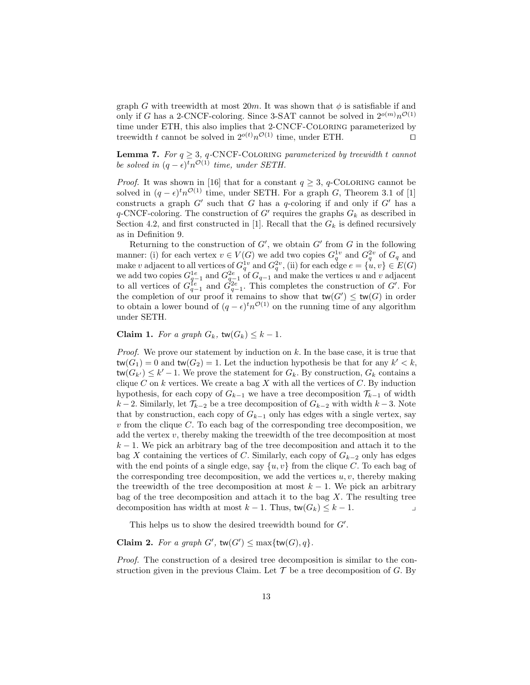graph G with treewidth at most  $20m$ . It was shown that  $\phi$  is satisfiable if and only if G has a 2-CNCF-coloring. Since 3-SAT cannot be solved in  $2^{o(m)}n^{\mathcal{O}(1)}$ time under ETH, this also implies that 2-CNCF-Coloring parameterized by treewidth t cannot be solved in  $2^{o(t)}n^{\mathcal{O}(1)}$  time, under ETH.

<span id="page-12-0"></span>**Lemma 7.** For  $q \geq 3$ , q-CNCF-COLORING parameterized by treewidth t cannot be solved in  $(q - \epsilon)^t n^{\mathcal{O}(1)}$  time, under SETH.

*Proof.* It was shown in [\[16\]](#page-40-8) that for a constant  $q \geq 3$ , q-COLORING cannot be solved in  $(q - \epsilon)^t n^{\mathcal{O}(1)}$  time, under SETH. For a graph G, Theorem 3.1 of [\[1\]](#page-39-7) constructs a graph  $G'$  such that G has a q-coloring if and only if  $G'$  has a  $q$ -CNCF-coloring. The construction of G' requires the graphs  $G_k$  as described in Section [4.2,](#page-20-0) and first constructed in [\[1\]](#page-39-7). Recall that the  $G_k$  is defined recursively as in Definition [9.](#page-20-1)

Returning to the construction of  $G'$ , we obtain  $G'$  from  $G$  in the following manner: (i) for each vertex  $v \in V(G)$  we add two copies  $G_q^{1v}$  and  $G_q^{2v}$  of  $G_q$  and make v adjacent to all vertices of  $G_q^{1v}$  and  $G_q^{2v}$ , (ii) for each edge  $e = \{u, v\} \in E(G)$ we add two copies  $G_{q-1}^{1e}$  and  $G_{q-1}^{2e}$  of  $G_{q-1}$  and make the vertices u and v adjacent to all vertices of  $G_{q-1}^{1e}$  and  $G_{q-1}^{2e}$ . This completes the construction of G'. For the completion of our proof it remains to show that  $tw(G') \leq tw(G)$  in order to obtain a lower bound of  $(q - \epsilon)^t n^{\mathcal{O}(1)}$  on the running time of any algorithm under SETH.

Claim 1. For a graph  $G_k$ , tw $(G_k) \leq k - 1$ .

*Proof.* We prove our statement by induction on  $k$ . In the base case, it is true that  $\mathsf{tw}(G_1) = 0$  and  $\mathsf{tw}(G_2) = 1$ . Let the induction hypothesis be that for any  $k' < k$ ,  $\mathsf{tw}(G_{k'}) \leq k'-1$ . We prove the statement for  $G_k$ . By construction,  $G_k$  contains a clique C on k vertices. We create a bag X with all the vertices of C. By induction hypothesis, for each copy of  $G_{k-1}$  we have a tree decomposition  $\mathcal{T}_{k-1}$  of width  $k-2$ . Similarly, let  $\mathcal{T}_{k-2}$  be a tree decomposition of  $G_{k-2}$  with width  $k-3$ . Note that by construction, each copy of  $G_{k-1}$  only has edges with a single vertex, say  $v$  from the clique  $C$ . To each bag of the corresponding tree decomposition, we add the vertex  $v$ , thereby making the treewidth of the tree decomposition at most  $k-1$ . We pick an arbitrary bag of the tree decomposition and attach it to the bag X containing the vertices of C. Similarly, each copy of  $G_{k-2}$  only has edges with the end points of a single edge, say  $\{u, v\}$  from the clique C. To each bag of the corresponding tree decomposition, we add the vertices  $u, v$ , thereby making the treewidth of the tree decomposition at most  $k - 1$ . We pick an arbitrary bag of the tree decomposition and attach it to the bag  $X$ . The resulting tree decomposition has width at most  $k - 1$ . Thus,  $tw(G_k) \leq k - 1$ .

This helps us to show the desired treewidth bound for  $G'$ .

Claim 2. For a graph  $G'$ , tw $(G') \leq \max{\text{tw}(G), q}$ .

Proof. The construction of a desired tree decomposition is similar to the construction given in the previous Claim. Let  $\mathcal T$  be a tree decomposition of  $G$ . By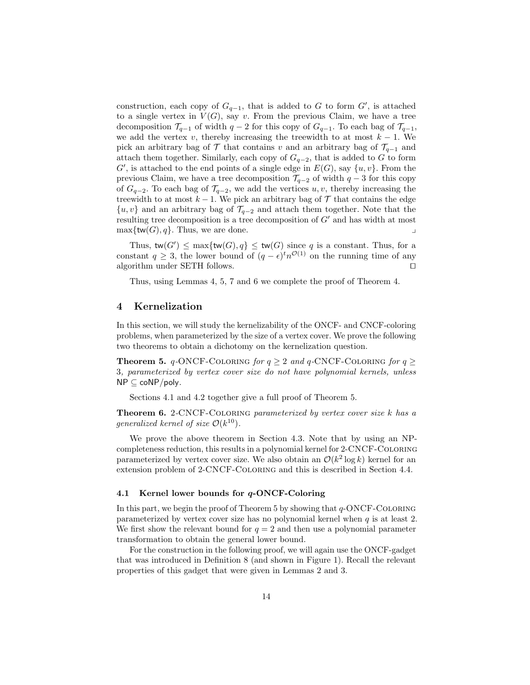construction, each copy of  $G_{q-1}$ , that is added to G to form G', is attached to a single vertex in  $V(G)$ , say v. From the previous Claim, we have a tree decomposition  $\mathcal{T}_{q-1}$  of width  $q-2$  for this copy of  $G_{q-1}$ . To each bag of  $\mathcal{T}_{q-1}$ , we add the vertex v, thereby increasing the treewidth to at most  $k - 1$ . We pick an arbitrary bag of  $\mathcal T$  that contains v and an arbitrary bag of  $\mathcal T_{q-1}$  and attach them together. Similarly, each copy of  $G_{q-2}$ , that is added to G to form  $G'$ , is attached to the end points of a single edge in  $E(G)$ , say  $\{u, v\}$ . From the previous Claim, we have a tree decomposition  $\mathcal{T}_{q-2}$  of width  $q-3$  for this copy of  $G_{q-2}$ . To each bag of  $\mathcal{T}_{q-2}$ , we add the vertices u, v, thereby increasing the treewidth to at most  $k - 1$ . We pick an arbitrary bag of  $\mathcal T$  that contains the edge  $\{u, v\}$  and an arbitrary bag of  $\mathcal{T}_{q-2}$  and attach them together. Note that the resulting tree decomposition is a tree decomposition of  $G'$  and has width at most  $\max\{\mathsf{tw}(G), q\}$ . Thus, we are done.

Thus,  $\text{tw}(G') \le \max{\{\text{tw}(G), q\}} \le \text{tw}(G)$  since q is a constant. Thus, for a constant  $q \geq 3$ , the lower bound of  $(q - \epsilon)^t n^{\mathcal{O}(1)}$  on the running time of any algorithm under SETH follows.  $\Box$ 

Thus, using Lemmas [4,](#page-10-2) [5,](#page-11-0) [7](#page-12-0) and [6](#page-11-1) we complete the proof of Theorem [4.](#page-6-2)

## <span id="page-13-0"></span>4 Kernelization

In this section, we will study the kernelizability of the ONCF- and CNCF-coloring problems, when parameterized by the size of a vertex cover. We prove the following two theorems to obtain a dichotomy on the kernelization question.

<span id="page-13-2"></span>**Theorem 5.**  $q$ -ONCF-COLORING for  $q \ge 2$  and  $q$ -CNCF-COLORING for  $q \ge$ 3, parameterized by vertex cover size do not have polynomial kernels, unless  $NP \subseteq coNP/poly$ .

Sections [4.1](#page-13-1) and [4.2](#page-20-0) together give a full proof of Theorem [5.](#page-13-2)

<span id="page-13-4"></span>Theorem 6. 2-CNCF-COLORING parameterized by vertex cover size k has a generalized kernel of size  $\mathcal{O}(k^{10})$ .

We prove the above theorem in Section [4.3.](#page-26-0) Note that by using an NPcompleteness reduction, this results in a polynomial kernel for 2-CNCF-Coloring parameterized by vertex cover size. We also obtain an  $\mathcal{O}(k^2 \log k)$  kernel for an extension problem of 2-CNCF-Coloring and this is described in Section [4.4.](#page-30-0)

### <span id="page-13-1"></span>4.1 Kernel lower bounds for q-ONCF-Coloring

In this part, we begin the proof of Theorem [5](#page-13-2) by showing that  $q$ -ONCF-COLORING parameterized by vertex cover size has no polynomial kernel when  $q$  is at least 2. We first show the relevant bound for  $q = 2$  and then use a polynomial parameter transformation to obtain the general lower bound.

<span id="page-13-3"></span>For the construction in the following proof, we will again use the ONCF-gadget that was introduced in Definition [8](#page-9-0) (and shown in Figure [1\)](#page-10-0). Recall the relevant properties of this gadget that were given in Lemmas [2](#page-9-1) and [3.](#page-10-1)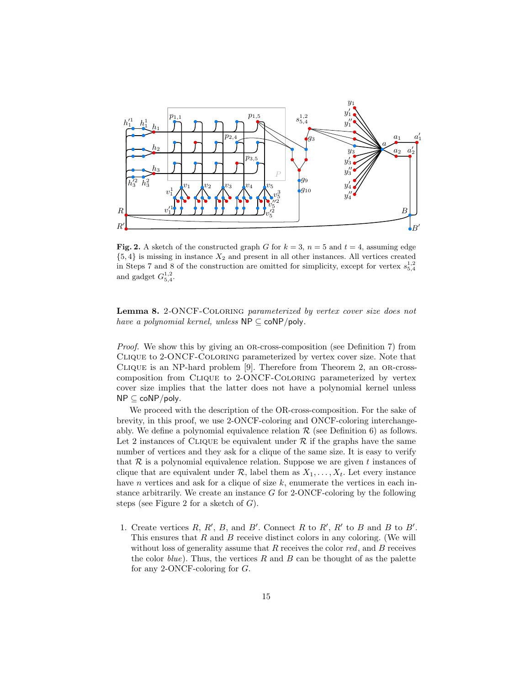

<span id="page-14-0"></span>Fig. 2. A sketch of the constructed graph G for  $k = 3$ ,  $n = 5$  and  $t = 4$ , assuming edge  ${5, 4}$  is missing in instance  $X_2$  and present in all other instances. All vertices created in Steps [7](#page-15-0) and [8](#page-15-1) of the construction are omitted for simplicity, except for vertex  $s_{5,4}^{1,2}$ and gadget  $G_{5,4}^{1,2}$ .

Lemma 8. 2-ONCF-COLORING parameterized by vertex cover size does not have a polynomial kernel, unless  $NP \subset coNP/poly$ .

*Proof.* We show this by giving an OR-cross-composition (see Definition [7\)](#page-5-0) from Clique to 2-ONCF-Coloring parameterized by vertex cover size. Note that CLIQUE is an NP-hard problem [\[9\]](#page-39-8). Therefore from Theorem [2,](#page-5-1) an OR-crosscomposition from Clique to 2-ONCF-Coloring parameterized by vertex cover size implies that the latter does not have a polynomial kernel unless NP ⊆ coNP/poly.

We proceed with the description of the OR-cross-composition. For the sake of brevity, in this proof, we use 2-ONCF-coloring and ONCF-coloring interchangeably. We define a polynomial equivalence relation  $\mathcal R$  (see Definition [6\)](#page-5-2) as follows. Let 2 instances of CLIQUE be equivalent under  $R$  if the graphs have the same number of vertices and they ask for a clique of the same size. It is easy to verify that  $\mathcal R$  is a polynomial equivalence relation. Suppose we are given t instances of clique that are equivalent under  $\mathcal{R}$ , label them as  $X_1, \ldots, X_t$ . Let every instance have *n* vertices and ask for a clique of size  $k$ , enumerate the vertices in each instance arbitrarily. We create an instance  $G$  for 2-ONCF-coloring by the following steps (see Figure [2](#page-14-0) for a sketch of  $G$ ).

1. Create vertices  $R, R', B$ , and  $B'$ . Connect  $R$  to  $R', R'$  to  $B$  and  $B$  to  $B'$ . This ensures that  $R$  and  $B$  receive distinct colors in any coloring. (We will without loss of generality assume that  $R$  receives the color  $red$ , and  $B$  receives the color  $blue$ . Thus, the vertices R and B can be thought of as the palette for any 2-ONCF-coloring for G.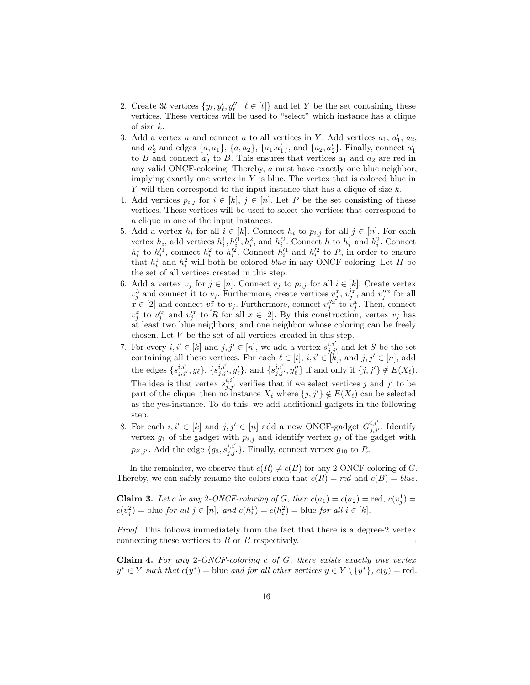- 2. Create 3t vertices  $\{y_{\ell}, y_{\ell}', y_{\ell}'' \mid \ell \in [t]\}$  and let Y be the set containing these vertices. These vertices will be used to "select" which instance has a clique of size k.
- 3. Add a vertex a and connect a to all vertices in Y. Add vertices  $a_1, a'_1, a_2$ , and  $a'_2$  and edges  $\{a, a_1\}$ ,  $\{a, a_2\}$ ,  $\{a_1 \cdot a'_1\}$ , and  $\{a_2, a'_2\}$ . Finally, connect  $a'_1$ to B and connect  $a'_2$  to B. This ensures that vertices  $a_1$  and  $a_2$  are red in any valid ONCF-coloring. Thereby, a must have exactly one blue neighbor, implying exactly one vertex in  $Y$  is blue. The vertex that is colored blue in  $Y$  will then correspond to the input instance that has a clique of size  $k$ .
- 4. Add vertices  $p_{i,j}$  for  $i \in [k], j \in [n]$ . Let P be the set consisting of these vertices. These vertices will be used to select the vertices that correspond to a clique in one of the input instances.
- 5. Add a vertex  $h_i$  for all  $i \in [k]$ . Connect  $h_i$  to  $p_{i,j}$  for all  $j \in [n]$ . For each vertex  $h_i$ , add vertices  $h_i^1, h_i'^1, h_i^2$ , and  $h_i'^2$ . Connect h to  $h_i^1$  and  $h_i^2$ . Connect  $h_i^1$  to  $h_i^{\prime 1}$ , connect  $h_i^2$  to  $h_i^{\prime 2}$ . Connect  $h_i^{\prime 1}$  and  $h_i^{\prime 2}$  to R, in order to ensure that  $h_i^1$  and  $h_i^2$  will both be colored *blue* in any ONCF-coloring. Let H be the set of all vertices created in this step.
- 6. Add a vertex  $v_j$  for  $j \in [n]$ . Connect  $v_j$  to  $p_{i,j}$  for all  $i \in [k]$ . Create vertex  $v_j^3$  and connect it to  $v_j$ . Furthermore, create vertices  $v_j^x$ ,  $v_j'^x$ , and  $v_j''^x$  for all  $x \in [2]$  and connect  $v_j^x$  to  $v_j$ . Furthermore, connect  $v_j''^x$  to  $v_j^x$ . Then, connect  $v_j^x$  to  $v_j'^x$  and  $v_j'^x$  to R for all  $x \in [2]$ . By this construction, vertex  $v_j$  has at least two blue neighbors, and one neighbor whose coloring can be freely chosen. Let  $V$  be the set of all vertices created in this step.
- <span id="page-15-0"></span>7. For every  $i, i' \in [k]$  and  $j, j' \in [n]$ , we add a vertex  $s_{j,j'}^{i,i'}$  and let S be the set containing all these vertices. For each  $\ell \in [t], i, i' \in [k]$ , and  $j, j' \in [n]$ , add the edges  $\{s_{j,j'}^{i,i'}, y_\ell\}, \{s_{j,j'}^{i,i'}, y_\ell'\}, \text{ and } \{s_{j,j'}^{i,i'}, y_\ell''\} \text{ if and only if } \{j,j'\} \notin E(X_\ell).$ The idea is that vertex  $s_{j,j'}^{i,i'}$ , verifies that if we select vertices j and j' to be part of the clique, then no instance  $X_{\ell}$  where  $\{j, j'\} \notin E(X_{\ell})$  can be selected as the yes-instance. To do this, we add additional gadgets in the following step.
- <span id="page-15-1"></span>8. For each  $i, i' \in [k]$  and  $j, j' \in [n]$  add a new ONCF-gadget  $G_{j, j'}^{i, i'}$ . Identify vertex  $g_1$  of the gadget with  $p_{i,j}$  and identify vertex  $g_2$  of the gadget with  $p_{i',j'}$ . Add the edge  $\{g_3, s_{j,j'}^{i,i'}\}$ . Finally, connect vertex  $g_{10}$  to R.

In the remainder, we observe that  $c(R) \neq c(B)$  for any 2-ONCF-coloring of G. Thereby, we can safely rename the colors such that  $c(R) = red$  and  $c(B) = blue$ .

<span id="page-15-2"></span>**Claim 3.** Let c be any 2-ONCF-coloring of G, then  $c(a_1) = c(a_2) = \text{red}, c(v_j^1) =$  $c(v_j^2) = \text{blue for all } j \in [n], \text{ and } c(h_i^1) = c(h_i^2) = \text{blue for all } i \in [k].$ 

Proof. This follows immediately from the fact that there is a degree-2 vertex connecting these vertices to  $R$  or  $B$  respectively.

<span id="page-15-3"></span>**Claim 4.** For any 2-ONCF-coloring c of G, there exists exactly one vertex  $y^* \in Y$  such that  $c(y^*)$  = blue and for all other vertices  $y \in Y \setminus \{y^*\}, c(y)$  = red.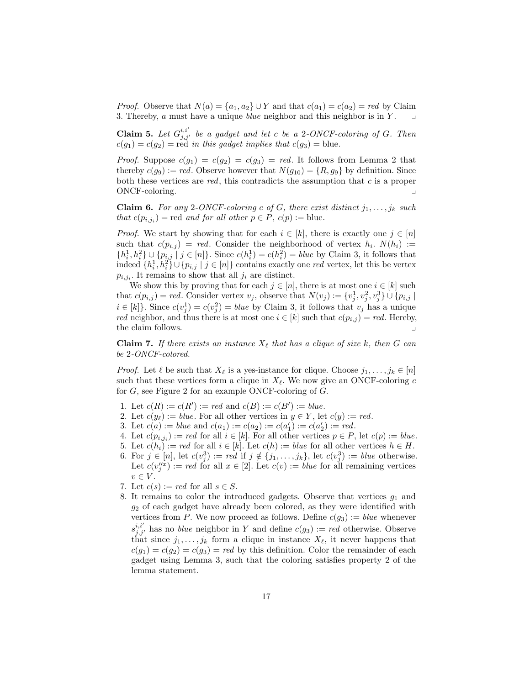*Proof.* Observe that  $N(a) = \{a_1, a_2\} \cup Y$  and that  $c(a_1) = c(a_2) = red$  by Claim [3.](#page-15-2) Thereby,  $a$  must have a unique *blue* neighbor and this neighbor is in  $Y$ .

<span id="page-16-1"></span>**Claim 5.** Let  $G_{j,j'}^{i,i'}$  be a gadget and let c be a 2-ONCF-coloring of G. Then  $c(g_1) = c(g_2) = \text{red}$  in this gadget implies that  $c(g_3) = \text{blue}$ .

*Proof.* Suppose  $c(g_1) = c(g_2) = c(g_3) = red$ . It follows from Lemma [2](#page-9-1) that thereby  $c(g_9) := red$ . Observe however that  $N(g_{10}) = \{R, g_9\}$  by definition. Since both these vertices are  $red$ , this contradicts the assumption that  $c$  is a proper ONCF-coloring.

<span id="page-16-0"></span>**Claim 6.** For any 2-ONCF-coloring c of G, there exist distinct  $j_1, \ldots, j_k$  such that  $c(p_{i,j_i})$  = red and for all other  $p \in P$ ,  $c(p) :=$  blue.

*Proof.* We start by showing that for each  $i \in [k]$ , there is exactly one  $j \in [n]$ such that  $c(p_{i,j}) = red$ . Consider the neighborhood of vertex  $h_i$ .  $N(h_i) :=$  $\{h_i^1, h_i^2\} \cup \{p_{i,j} \mid j \in [n]\}\$ . Since  $c(h_i^1) = c(h_i^2) = blue$  by Claim [3,](#page-15-2) it follows that indeed  $\{h_i^1, h_i^2\} \cup \{p_{i,j} \mid j \in [n]\}\)$  contains exactly one red vertex, let this be vertex  $p_{i,j_i}$ . It remains to show that all  $j_i$  are distinct.

We show this by proving that for each  $j \in [n]$ , there is at most one  $i \in [k]$  such that  $c(p_{i,j}) = red$ . Consider vertex  $v_j$ , observe that  $N(v_j) := \{v_j^1, v_j^2, v_j^3\} \cup \{p_{i,j} \mid$  $i \in [k]$ . Since  $c(v_j^1) = c(v_j^2) = blue$  by Claim [3,](#page-15-2) it follows that  $v_j$  has a unique *red* neighbor, and thus there is at most one  $i \in [k]$  such that  $c(p_{i,j}) = red$ . Hereby, the claim follows.

<span id="page-16-2"></span>**Claim 7.** If there exists an instance  $X_\ell$  that has a clique of size k, then G can be 2-ONCF-colored.

*Proof.* Let  $\ell$  be such that  $X_{\ell}$  is a yes-instance for clique. Choose  $j_1, \ldots, j_k \in [n]$ such that these vertices form a clique in  $X_{\ell}$ . We now give an ONCF-coloring c for G, see Figure [2](#page-14-0) for an example ONCF-coloring of G.

- 1. Let  $c(R) := c(R') := red$  and  $c(B) := c(B') := blue$ .
- 2. Let  $c(y_\ell) := blue$ . For all other vertices in  $y \in Y$ , let  $c(y) := red$ .
- 3. Let  $c(a) := blue$  and  $c(a_1) := c(a_2) := c(a'_1) := c(a'_2) := red$ .
- 4. Let  $c(p_{i,j_i}) := red$  for all  $i \in [k]$ . For all other vertices  $p \in P$ , let  $c(p) := blue$ .
- 5. Let  $c(h_i) := red$  for all  $i \in [k]$ . Let  $c(h) := blue$  for all other vertices  $h \in H$ .
- 6. For  $j \in [n]$ , let  $c(v_j^3) := red$  if  $j \notin \{j_1, \ldots, j_k\}$ , let  $c(v_j^3) := blue$  otherwise. Let  $c(v_j''^x) := red$  for all  $x \in [2]$ . Let  $c(v) := blue$  for all remaining vertices  $v \in V$ .
- 7. Let  $c(s) := red$  for all  $s \in S$ .
- 8. It remains to color the introduced gadgets. Observe that vertices  $g_1$  and  $g_2$  of each gadget have already been colored, as they were identified with vertices from P. We now proceed as follows. Define  $c(g_3) := blue$  whenever  $s_{j,j'}^{i,i'}$  has no *blue* neighbor in Y and define  $c(g_3) := red$  otherwise. Observe that since  $j_1, \ldots, j_k$  form a clique in instance  $X_\ell$ , it never happens that  $c(g_1) = c(g_2) = c(g_3) = red$  by this definition. Color the remainder of each gadget using Lemma [3,](#page-10-1) such that the coloring satisfies property [2](#page-10-3) of the lemma statement.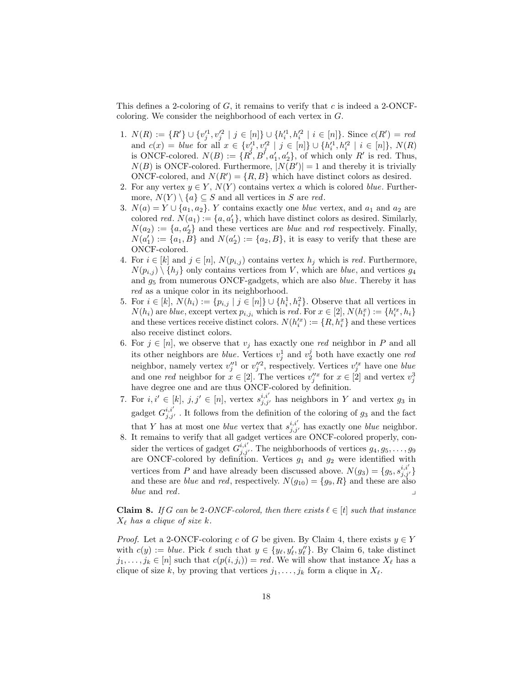This defines a 2-coloring of  $G$ , it remains to verify that c is indeed a 2-ONCFcoloring. We consider the neighborhood of each vertex in G.

- 1.  $N(R) := \{R'\} \cup \{v_j'^1, v_j'^2 \mid j \in [n]\} \cup \{h_i'^1, h_i'^2 \mid i \in [n]\}.$  Since  $c(R') = red$ and  $c(x) = blue$  for all  $x \in \{v_j^{11}, v_j^{12} \mid j \in [n]\} \cup \{h_i^{11}, h_i^{12} \mid i \in [n]\}, N(R)$ is ONCF-colored.  $N(B) := \{R^{\prime}, B^{\prime}, a_1^{\prime}, a_2^{\prime}\}$ , of which only  $R^{\prime}$  is red. Thus,  $N(B)$  is ONCF-colored. Furthermore,  $|N(B')|=1$  and thereby it is trivially ONCF-colored, and  $N(R') = \{R, B\}$  which have distinct colors as desired.
- 2. For any vertex  $y \in Y$ ,  $N(Y)$  contains vertex a which is colored *blue*. Furthermore,  $N(Y) \setminus \{a\} \subseteq S$  and all vertices in S are red.
- 3.  $N(a) = Y \cup \{a_1, a_2\}$ . Y contains exactly one *blue* vertex, and  $a_1$  and  $a_2$  are colored *red.*  $N(a_1) := \{a, a'_1\}$ , which have distinct colors as desired. Similarly,  $N(a_2) := \{a, a'_2\}$  and these vertices are *blue* and *red* respectively. Finally,  $N(a'_1) := \{a_1, B\}$  and  $N(a'_2) := \{a_2, B\}$ , it is easy to verify that these are ONCF-colored.
- 4. For  $i \in [k]$  and  $j \in [n]$ ,  $N(p_{i,j})$  contains vertex  $h_j$  which is red. Furthermore,  $N(p_{i,j}) \setminus \{h_j\}$  only contains vertices from V, which are *blue*, and vertices  $g_4$ and  $g_5$  from numerous ONCF-gadgets, which are also *blue*. Thereby it has red as a unique color in its neighborhood.
- 5. For  $i \in [k]$ ,  $N(h_i) := \{p_{i,j} \mid j \in [n]\} \cup \{h_i^1, h_i^2\}$ . Observe that all vertices in  $N(h_i)$  are blue, except vertex  $p_{i,j_i}$  which is red. For  $x \in [2]$ ,  $N(h_i^x) := \{h_i'^x, h_i\}$ and these vertices receive distinct colors.  $N(h_i^{tx}) := \{R, h_i^x\}$  and these vertices also receive distinct colors.
- 6. For  $j \in [n]$ , we observe that  $v_j$  has exactly one red neighbor in P and all its other neighbors are *blue*. Vertices  $v_j^1$  and  $v_2^j$  both have exactly one *red* neighbor, namely vertex  $v_j''^1$  or  $v_j''^2$ , respectively. Vertices  $v_j'^x$  have one *blue* and one red neighbor for  $x \in [2]$ . The vertices  $v_j''^x$  for  $x \in [2]$  and vertex  $v_j^3$ have degree one and are thus ONCF-colored by definition.
- 7. For  $i, i' \in [k], j, j' \in [n]$ , vertex  $s_{j,j'}^{i,i'}$  has neighbors in Y and vertex  $g_3$  in gadget  $G_{j,j'}^{i,i'}$ . It follows from the definition of the coloring of  $g_3$  and the fact that Y has at most one *blue* vertex that  $s_{j,j'}^{i,i'}$  has exactly one *blue* neighbor.
- 8. It remains to verify that all gadget vertices are ONCF-colored properly, consider the vertices of gadget  $G^{i,i'}_{j,j'}$ . The neighborhoods of vertices  $g_4, g_5, \ldots, g_9$ are ONCF-colored by definition. Vertices  $g_1$  and  $g_2$  were identified with vertices from P and have already been discussed above.  $N(g_3) = \{g_5, s_{j,j'}^{i,i'}\}$ and these are *blue* and *red*, respectively.  $N(g_{10}) = \{g_9, R\}$  and these are also blue and red.

<span id="page-17-0"></span>**Claim 8.** If G can be 2-ONCF-colored, then there exists  $\ell \in [t]$  such that instance  $X_{\ell}$  has a clique of size k.

*Proof.* Let a 2-ONCF-coloring c of G be given. By Claim [4,](#page-15-3) there exists  $y \in Y$ with  $c(y) := blue$ . Pick  $\ell$  such that  $y \in \{y_{\ell}, y_{\ell}'', y_{\ell}''\}$ . By Claim [6,](#page-16-0) take distinct  $j_1, \ldots, j_k \in [n]$  such that  $c(p(i, j_i)) = red$ . We will show that instance  $X_\ell$  has a clique of size k, by proving that vertices  $j_1, \ldots, j_k$  form a clique in  $X_\ell$ .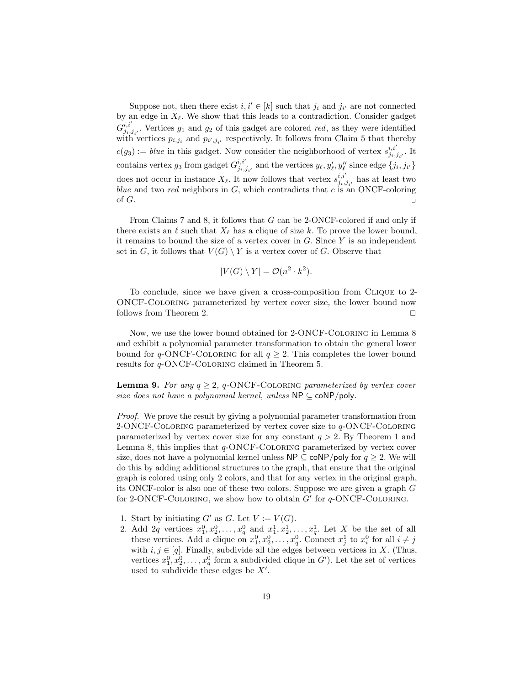Suppose not, then there exist  $i, i' \in [k]$  such that  $j_i$  and  $j_{i'}$  are not connected by an edge in  $X_{\ell}$ . We show that this leads to a contradiction. Consider gadget  $G^{i,i'}_{i}$  $j_{i,j_i}$ . Vertices  $g_1$  and  $g_2$  of this gadget are colored red, as they were identified with vertices  $p_{i,j_i}$  and  $p_{i',j_{i'}}$  respectively. It follows from Claim [5](#page-16-1) that thereby  $c(g_3) := \text{blue}$  in this gadget. Now consider the neighborhood of vertex  $s_{ij}^{i,i'}$  $_{j_i,j_{i'}}^{i,i}$ . It contains vertex  $g_3$  from gadget  $G_{j_i,j}^{i,i'}$  $j_{i,j_{i'}}^{i,i'}$  and the vertices  $y_{\ell}, y_{\ell}', y_{\ell}''$  since edge  $\{j_i, j_{i'}\}$ does not occur in instance  $X_{\ell}$ . It now follows that vertex  $s_{i,j}^{i,i'}$  $j_{i,j_{i'}}^{i,i}$  has at least two blue and two red neighbors in  $G$ , which contradicts that  $c$  is an ONCF-coloring of  $G$ .

From Claims [7](#page-16-2) and [8,](#page-17-0) it follows that G can be 2-ONCF-colored if and only if there exists an  $\ell$  such that  $X_{\ell}$  has a clique of size k. To prove the lower bound, it remains to bound the size of a vertex cover in  $G$ . Since  $Y$  is an independent set in G, it follows that  $V(G) \setminus Y$  is a vertex cover of G. Observe that

$$
|V(G) \setminus Y| = \mathcal{O}(n^2 \cdot k^2).
$$

To conclude, since we have given a cross-composition from Clique to 2- ONCF-Coloring parameterized by vertex cover size, the lower bound now follows from Theorem [2.](#page-5-1)  $\Box$ 

Now, we use the lower bound obtained for 2-ONCF-Coloring in Lemma [8](#page-13-3) and exhibit a polynomial parameter transformation to obtain the general lower bound for q-ONCF-COLORING for all  $q \geq 2$ . This completes the lower bound results for q-ONCF-Coloring claimed in Theorem [5.](#page-13-2)

**Lemma 9.** For any  $q \geq 2$ , q-ONCF-COLORING parameterized by vertex cover size does not have a polynomial kernel, unless  $NP \subseteq \text{coNP/poly}$ .

Proof. We prove the result by giving a polynomial parameter transformation from 2-ONCF-COLORING parameterized by vertex cover size to  $q$ -ONCF-COLORING parameterized by vertex cover size for any constant  $q > 2$ . By Theorem [1](#page-5-3) and Lemma [8,](#page-13-3) this implies that  $q$ -ONCF-COLORING parameterized by vertex cover size, does not have a polynomial kernel unless  $\mathsf{NP} \subseteq \mathsf{coNP/poly}$  for  $q \geq 2$ . We will do this by adding additional structures to the graph, that ensure that the original graph is colored using only 2 colors, and that for any vertex in the original graph, its ONCF-color is also one of these two colors. Suppose we are given a graph G for 2-ONCF-COLORING, we show how to obtain  $G'$  for  $q$ -ONCF-COLORING.

- 1. Start by initiating  $G'$  as  $G$ . Let  $V := V(G)$ .
- <span id="page-18-0"></span>2. Add 2q vertices  $x_1^0, x_2^0, \ldots, x_q^0$  and  $x_1^1, x_2^1, \ldots, x_q^1$ . Let X be the set of all these vertices. Add a clique on  $x_1^0, x_2^0, \ldots, x_q^0$ . Connect  $x_j^1$  to  $x_i^0$  for all  $i \neq j$ with  $i, j \in [q]$ . Finally, subdivide all the edges between vertices in X. (Thus, vertices  $x_1^0, x_2^0, \ldots, x_q^0$  form a subdivided clique in  $G'$ ). Let the set of vertices used to subdivide these edges be  $X'$ .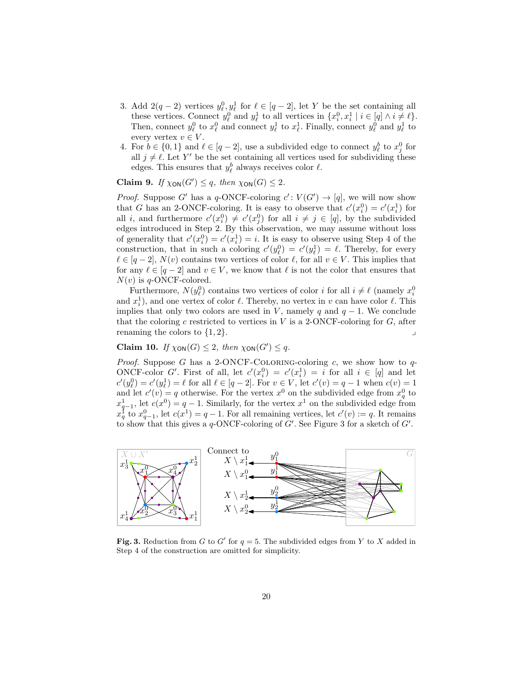- 3. Add  $2(q-2)$  vertices  $y_{\ell}^0, y_{\ell}^1$  for  $\ell \in [q-2]$ , let Y be the set containing all these vertices. Connect  $y_{\ell}^0$  and  $y_{\ell}^1$  to all vertices in  $\{x_i^0, x_i^1 \mid i \in [q] \land i \neq \ell\}.$ Then, connect  $y_{\ell}^0$  to  $x_{\ell}^0$  and connect  $y_{\ell}^1$  to  $x_{\ell}^1$ . Finally, connect  $y_{\ell}^0$  and  $y_{\ell}^1$  to every vertex  $v \in V$ .
- <span id="page-19-0"></span>4. For  $b \in \{0,1\}$  and  $\ell \in [q-2]$ , use a subdivided edge to connect  $y_{\ell}^{b}$  to  $x_{j}^{0}$  for all  $j \neq \ell$ . Let Y' be the set containing all vertices used for subdividing these edges. This ensures that  $y_\ell^b$  always receives color  $\ell$ .

Claim 9. If  $\chi_{\text{ON}}(G') \leq q$ , then  $\chi_{\text{ON}}(G) \leq 2$ .

*Proof.* Suppose G' has a q-ONCF-coloring  $c' : V(G') \to [q]$ , we will now show that G has an 2-ONCF-coloring. It is easy to observe that  $c'(x_i^0) = c'(x_i^1)$  for all *i*, and furthermore  $c'(x_i^0) \neq c'(x_j^0)$  for all  $i \neq j \in [q]$ , by the subdivided edges introduced in Step [2.](#page-18-0) By this observation, we may assume without loss of generality that  $c'(x_i^0) = c'(x_i^1) = i$ . It is easy to observe using Step [4](#page-19-0) of the construction, that in such a coloring  $c'(y_\ell^0) = c'(y_\ell^1) = \ell$ . Thereby, for every  $\ell \in [q - 2]$ ,  $N(v)$  contains two vertices of color  $\ell$ , for all  $v \in V$ . This implies that for any  $\ell \in [q-2]$  and  $v \in V$ , we know that  $\ell$  is not the color that ensures that  $N(v)$  is q-ONCF-colored.

Furthermore,  $N(y_\ell^0)$  contains two vertices of color *i* for all  $i \neq \ell$  (namely  $x_i^0$ ) and  $x_i^1$ ), and one vertex of color  $\ell$ . Thereby, no vertex in v can have color  $\ell$ . This implies that only two colors are used in V, namely q and  $q - 1$ . We conclude that the coloring c restricted to vertices in  $V$  is a 2-ONCF-coloring for  $G$ , after renaming the colors to  $\{1, 2\}$ .

Claim 10. If  $\chi_{\text{ON}}(G) \leq 2$ , then  $\chi_{\text{ON}}(G') \leq q$ .

*Proof.* Suppose G has a 2-ONCF-COLORING-coloring c, we show how to  $q$ -ONCF-color G'. First of all, let  $c'(x_i^0) = c'(x_i^1) = i$  for all  $i \in [q]$  and let  $c'(y_{\ell}^0) = c'(y_{\ell}^1) = \ell$  for all  $\ell \in [q-2]$ . For  $v \in V$ , let  $c'(v) = q-1$  when  $c(v) = 1$ and let  $c'(v) = q$  otherwise. For the vertex  $x^0$  on the subdivided edge from  $x_q^0$  to  $x_{q-1}^1$ , let  $c(x^0) = q - 1$ . Similarly, for the vertex  $x^1$  on the subdivided edge from  $x_q^{\dagger}$  to  $x_{q-1}^0$ , let  $c(x^1) = q-1$ . For all remaining vertices, let  $c'(v) := q$ . It remains to show that this gives a q-ONCF-coloring of  $G'$ . See Figure [3](#page-19-1) for a sketch of  $G'$ .



<span id="page-19-1"></span>Fig. 3. Reduction from G to G' for  $q = 5$ . The subdivided edges from Y to X added in Step [4](#page-19-0) of the construction are omitted for simplicity.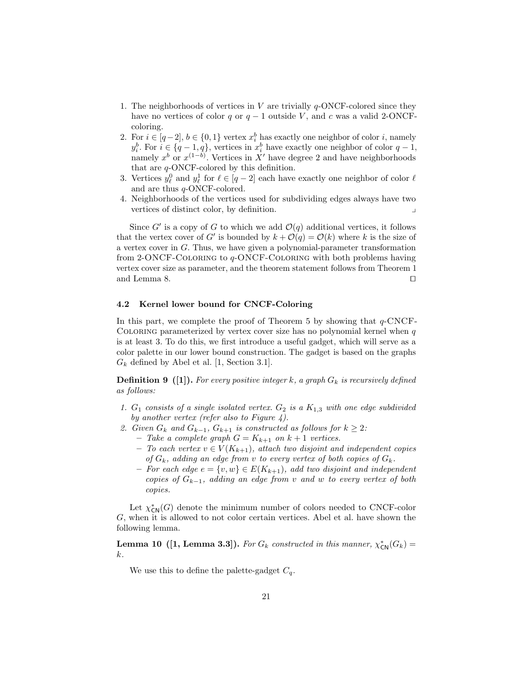- 1. The neighborhoods of vertices in V are trivially  $q$ -ONCF-colored since they have no vertices of color q or  $q - 1$  outside V, and c was a valid 2-ONCFcoloring.
- 2. For  $i \in [q-2], b \in \{0,1\}$  vertex  $x_i^b$  has exactly one neighbor of color i, namely  $y_i^b$ . For  $i \in \{q-1, q\}$ , vertices in  $x_i^b$  have exactly one neighbor of color  $q-1$ , namely  $x^b$  or  $x^{(1-b)}$ . Vertices in X' have degree 2 and have neighborhoods that are q-ONCF-colored by this definition.
- 3. Vertices  $y_{\ell}^0$  and  $y_{\ell}^1$  for  $\ell \in [q-2]$  each have exactly one neighbor of color  $\ell$ and are thus q-ONCF-colored.
- 4. Neighborhoods of the vertices used for subdividing edges always have two vertices of distinct color, by definition.

Since G' is a copy of G to which we add  $\mathcal{O}(q)$  additional vertices, it follows that the vertex cover of G' is bounded by  $k + \mathcal{O}(q) = \mathcal{O}(k)$  where k is the size of a vertex cover in G. Thus, we have given a polynomial-parameter transformation from 2-ONCF-Coloring to q-ONCF-Coloring with both problems having vertex cover size as parameter, and the theorem statement follows from Theorem [1](#page-5-3) and Lemma [8.](#page-13-3)  $\Box$ 

## <span id="page-20-0"></span>4.2 Kernel lower bound for CNCF-Coloring

In this part, we complete the proof of Theorem [5](#page-13-2) by showing that  $q$ -CNCF-COLORING parameterized by vertex cover size has no polynomial kernel when  $q$ is at least 3. To do this, we first introduce a useful gadget, which will serve as a color palette in our lower bound construction. The gadget is based on the graphs  $G_k$  defined by Abel et al. [\[1,](#page-39-7) Section 3.1].

<span id="page-20-1"></span>**Definition 9** ([\[1\]](#page-39-7)). For every positive integer k, a graph  $G_k$  is recursively defined as follows:

- 1.  $G_1$  consists of a single isolated vertex.  $G_2$  is a  $K_{1,3}$  with one edge subdivided by another vertex (refer also to Figure [4\)](#page-21-0).
- 2. Given  $G_k$  and  $G_{k-1}$ ,  $G_{k+1}$  is constructed as follows for  $k \geq 2$ :
	- Take a complete graph  $G = K_{k+1}$  on  $k+1$  vertices.
	- To each vertex  $v \in V(K_{k+1})$ , attach two disjoint and independent copies of  $G_k$ , adding an edge from v to every vertex of both copies of  $G_k$ .
	- For each edge  $e = \{v, w\} \in E(K_{k+1})$ , add two disjoint and independent copies of  $G_{k-1}$ , adding an edge from v and w to every vertex of both copies.

<span id="page-20-2"></span>Let  $\chi_{\text{CN}}^*(G)$  denote the minimum number of colors needed to CNCF-color G, when it is allowed to not color certain vertices. Abel et al. have shown the following lemma.

**Lemma 10** ([\[1,](#page-39-7) Lemma 3.3]). For  $G_k$  constructed in this manner,  $\chi_{\text{CN}}^*(G_k)$  = k.

<span id="page-20-3"></span>We use this to define the palette-gadget  $C_q$ .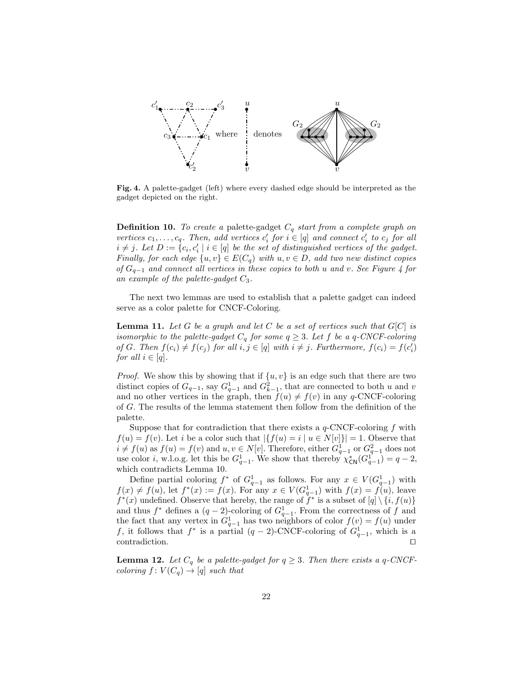

<span id="page-21-0"></span>Fig. 4. A palette-gadget (left) where every dashed edge should be interpreted as the gadget depicted on the right.

**Definition 10.** To create a palette-gadget  $C_q$  start from a complete graph on vertices  $c_1, \ldots, c_q$ . Then, add vertices  $c'_i$  for  $i \in [q]$  and connect  $c'_i$  to  $c_j$  for all  $i \neq j$ . Let  $D := \{c_i, c'_i \mid i \in [q] \text{ be the set of distinguished vertices of the gadget.} \}$ Finally, for each edge  $\{u, v\} \in E(C_q)$  with  $u, v \in D$ , add two new distinct copies of  $G_{q-1}$  and connect all vertices in these copies to both u and v. See Figure [4](#page-21-0) for an example of the palette-gadget  $C_3$ .

The next two lemmas are used to establish that a palette gadget can indeed serve as a color palette for CNCF-Coloring.

<span id="page-21-1"></span>**Lemma 11.** Let G be a graph and let C be a set of vertices such that  $G[C]$  is isomorphic to the palette-gadget  $C_q$  for some  $q \geq 3$ . Let f be a q-CNCF-coloring of G. Then  $f(c_i) \neq f(c_j)$  for all  $i, j \in [q]$  with  $i \neq j$ . Furthermore,  $f(c_i) = f(c'_i)$ for all  $i \in [q]$ .

*Proof.* We show this by showing that if  $\{u, v\}$  is an edge such that there are two distinct copies of  $G_{q-1}$ , say  $G_{q-1}^1$  and  $G_{k-1}^2$ , that are connected to both u and v and no other vertices in the graph, then  $f(u) \neq f(v)$  in any q-CNCF-coloring of G. The results of the lemma statement then follow from the definition of the palette.

Suppose that for contradiction that there exists a  $q$ -CNCF-coloring f with  $f(u) = f(v)$ . Let i be a color such that  $|\{f(u) = i \mid u \in N[v]\}| = 1$ . Observe that  $i \neq f(u)$  as  $f(u) = f(v)$  and  $u, v \in N[v]$ . Therefore, either  $G_{q-1}^1$  or  $G_{q-1}^2$  does not use color *i*, w.l.o.g. let this be  $G_{q-1}^1$ . We show that thereby  $\chi_{\text{CN}}^*(G_{q-1}^{1^*}) = q-2$ , which contradicts Lemma [10.](#page-20-2)

Define partial coloring  $f^*$  of  $G_{q-1}^1$  as follows. For any  $x \in V(G_{q-1}^1)$  with  $f(x) \neq f(u)$ , let  $f^*(x) := f(x)$ . For any  $x \in V(G_{q-1}^1)$  with  $f(x) = f(u)$ , leave  $f^*(x)$  undefined. Observe that hereby, the range of  $\hat{f}^*$  is a subset of  $[q] \setminus \{i, f(u)\}$ and thus  $f^*$  defines a  $(q-2)$ -coloring of  $G_{q-1}^1$ . From the correctness of f and the fact that any vertex in  $G_{q-1}^1$  has two neighbors of color  $f(v) = f(u)$  under f, it follows that  $f^*$  is a partial  $(q-2)$ -CNCF-coloring of  $G_{q-1}^1$ , which is a contradiction.  $\Box$ 

<span id="page-21-2"></span>**Lemma 12.** Let  $C_q$  be a palette-gadget for  $q \geq 3$ . Then there exists a q-CNCFcoloring  $f: V(C_q) \to [q]$  such that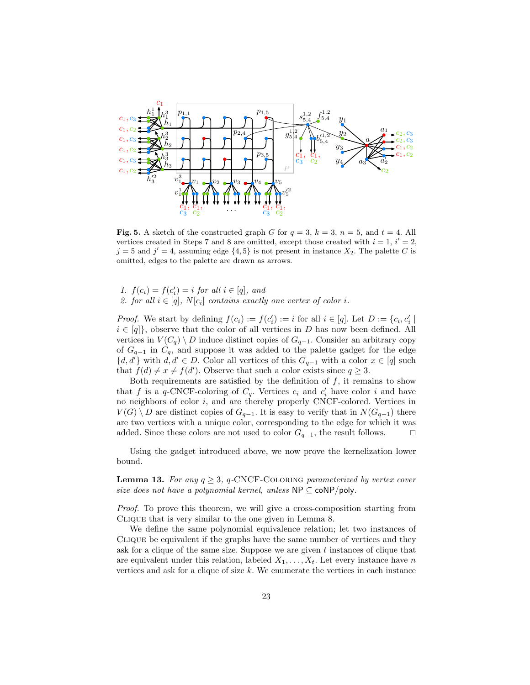

<span id="page-22-0"></span>Fig. 5. A sketch of the constructed graph G for  $q = 3$ ,  $k = 3$ ,  $n = 5$ , and  $t = 4$ . All vertices created in Steps [7](#page-23-0) and [8](#page-23-1) are omitted, except those created with  $i = 1$ ,  $i' = 2$ ,  $j=5$  and  $j'=4$ , assuming edge  $\{4,5\}$  is not present in instance  $X_2$ . The palette C is omitted, edges to the palette are drawn as arrows.

- 1.  $f(c_i) = f(c'_i) = i$  for all  $i \in [q]$ , and
- 2. for all  $i \in [q]$ ,  $N[c_i]$  contains exactly one vertex of color i.

*Proof.* We start by defining  $f(c_i) := f(c'_i) := i$  for all  $i \in [q]$ . Let  $D := \{c_i, c'_i \mid$  $i \in [q]$ , observe that the color of all vertices in D has now been defined. All vertices in  $V(C_q) \setminus D$  induce distinct copies of  $G_{q-1}$ . Consider an arbitrary copy of  $G_{q-1}$  in  $C_q$ , and suppose it was added to the palette gadget for the edge  $\{d, d'\}\$  with  $d, d' \in D$ . Color all vertices of this  $G_{q-1}$  with a color  $x \in [q]$  such that  $f(d) \neq x \neq f(d')$ . Observe that such a color exists since  $q \geq 3$ .

Both requirements are satisfied by the definition of  $f$ , it remains to show that f is a q-CNCF-coloring of  $C_q$ . Vertices  $c_i$  and  $c'_i$  have color i and have no neighbors of color  $i$ , and are thereby properly CNCF-colored. Vertices in  $V(G) \setminus D$  are distinct copies of  $G_{q-1}$ . It is easy to verify that in  $N(G_{q-1})$  there are two vertices with a unique color, corresponding to the edge for which it was added. Since these colors are not used to color  $G_{q-1}$ , the result follows.  $\Box$ 

Using the gadget introduced above, we now prove the kernelization lower bound.

<span id="page-22-1"></span>**Lemma 13.** For any  $q \geq 3$ , q-CNCF-COLORING parameterized by vertex cover size does not have a polynomial kernel, unless  $NP \subseteq \text{coNP/poly}$ .

Proof. To prove this theorem, we will give a cross-composition starting from Clique that is very similar to the one given in Lemma [8.](#page-13-3)

We define the same polynomial equivalence relation; let two instances of Clique be equivalent if the graphs have the same number of vertices and they ask for a clique of the same size. Suppose we are given  $t$  instances of clique that are equivalent under this relation, labeled  $X_1, \ldots, X_t$ . Let every instance have n vertices and ask for a clique of size  $k$ . We enumerate the vertices in each instance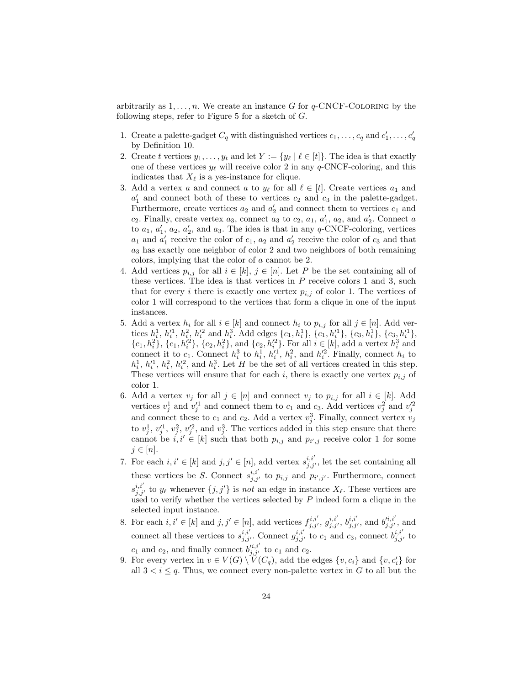arbitrarily as  $1, \ldots, n$ . We create an instance G for q-CNCF-COLORING by the following steps, refer to Figure [5](#page-22-0) for a sketch of  $G$ .

- 1. Create a palette-gadget  $C_q$  with distinguished vertices  $c_1, \ldots, c_q$  and  $c'_1, \ldots, c'_q$ by Definition [10.](#page-20-3)
- 2. Create t vertices  $y_1, \ldots, y_t$  and let  $Y := \{y_\ell | \ell \in [t]\}\.$  The idea is that exactly one of these vertices  $y_\ell$  will receive color 2 in any q-CNCF-coloring, and this indicates that  $X_{\ell}$  is a yes-instance for clique.
- 3. Add a vertex a and connect a to  $y_{\ell}$  for all  $\ell \in [t]$ . Create vertices  $a_1$  and  $a'_1$  and connect both of these to vertices  $c_2$  and  $c_3$  in the palette-gadget. Furthermore, create vertices  $a_2$  and  $a'_2$  and connect them to vertices  $c_1$  and  $c_2$ . Finally, create vertex  $a_3$ , connect  $a_3$  to  $c_2$ ,  $a_1$ ,  $a'_1$ ,  $a_2$ , and  $a'_2$ . Connect a to  $a_1, a'_1, a_2, a'_2$ , and  $a_3$ . The idea is that in any q-CNCF-coloring, vertices  $a_1$  and  $a'_1$  receive the color of  $c_1$ ,  $a_2$  and  $a'_2$  receive the color of  $c_3$  and that  $a_3$  has exactly one neighbor of color 2 and two neighbors of both remaining colors, implying that the color of a cannot be 2.
- 4. Add vertices  $p_{i,j}$  for all  $i \in [k], j \in [n]$ . Let P be the set containing all of these vertices. The idea is that vertices in  $P$  receive colors 1 and 3, such that for every i there is exactly one vertex  $p_{i,j}$  of color 1. The vertices of color 1 will correspond to the vertices that form a clique in one of the input instances.
- 5. Add a vertex  $h_i$  for all  $i \in [k]$  and connect  $h_i$  to  $p_{i,j}$  for all  $j \in [n]$ . Add vertices  $h_i^1$ ,  $h_i'^1$ ,  $h_i^2$ ,  $h_i'^2$  and  $h_i^3$ . Add edges  $\{c_1, h_i^1\}$ ,  $\{c_1, h_i'^1\}$ ,  $\{c_3, h_i^1\}$ ,  $\{c_3, h_i'^1\}$ ,  $\{c_1, h_i^2\}, \{c_1, h_i'^2\}, \{c_2, h_i^2\}, \text{ and } \{c_2, h_i'^2\}.$  For all  $i \in [k]$ , add a vertex  $h_i^3$  and connect it to  $c_1$ . Connect  $h_i^3$  to  $h_i^1$ ,  $h_i^{\prime 1}$ ,  $h_i^2$ , and  $h_i^{\prime 2}$ . Finally, connect  $h_i$  to  $h_i^1, h_i'^1, h_i^2, h_i'^2$ , and  $h_i^3$ . Let H be the set of all vertices created in this step. These vertices will ensure that for each i, there is exactly one vertex  $p_{i,j}$  of color 1.
- 6. Add a vertex  $v_j$  for all  $j \in [n]$  and connect  $v_j$  to  $p_{i,j}$  for all  $i \in [k]$ . Add vertices  $v_j^1$  and  $v_j'^1$  and connect them to  $c_1$  and  $c_3$ . Add vertices  $v_j^2$  and  $v_j'^2$ and connect these to  $c_1$  and  $c_2$ . Add a vertex  $v_j^3$ . Finally, connect vertex  $v_j$ to  $v_j^1, v_j'^1, v_j^2, v_j'^2$ , and  $v_j^3$ . The vertices added in this step ensure that there cannot be  $i, i' \in [k]$  such that both  $p_{i,j}$  and  $p_{i',j}$  receive color 1 for some  $j \in [n]$ .
- <span id="page-23-0"></span>7. For each  $i, i' \in [k]$  and  $j, j' \in [n]$ , add vertex  $s_{j, j'}^{i, i'}$ , let the set containing all these vertices be S. Connect  $s_{j,j'}^{i,i'}$  to  $p_{i,j}$  and  $p_{i',j'}$ . Furthermore, connect  $s_{j,j'}^{i,i'}$  to  $y_\ell$  whenever  $\{j, j'\}$  is not an edge in instance  $X_\ell$ . These vertices are used to verify whether the vertices selected by  $P$  indeed form a clique in the selected input instance.
- <span id="page-23-1"></span>8. For each  $i, i' \in [k]$  and  $j, j' \in [n]$ , add vertices  $f_{j, j'}^{i, i'}$ ,  $g_{j, j'}^{i, i'}$ ,  $b_{j, j'}^{i, i'}$ , and  $b_{j, j'}^{i, i'}$ , and connect all these vertices to  $s_{j,j'}^{i,i'}$ . Connect  $g_{j,j'}^{i,i'}$  to  $c_1$  and  $c_3$ , connect  $b_{j,j'}^{i,i'}$  to  $c_1$  and  $c_2$ , and finally connect  $b_{j,j'}^{i,i'}$  to  $c_1$  and  $c_2$ .
- <span id="page-23-2"></span>9. For every vertex in  $v \in V(G) \setminus V(G_q)$ , add the edges  $\{v, c_i\}$  and  $\{v, c'_i\}$  for all  $3 < i \leq q$ . Thus, we connect every non-palette vertex in G to all but the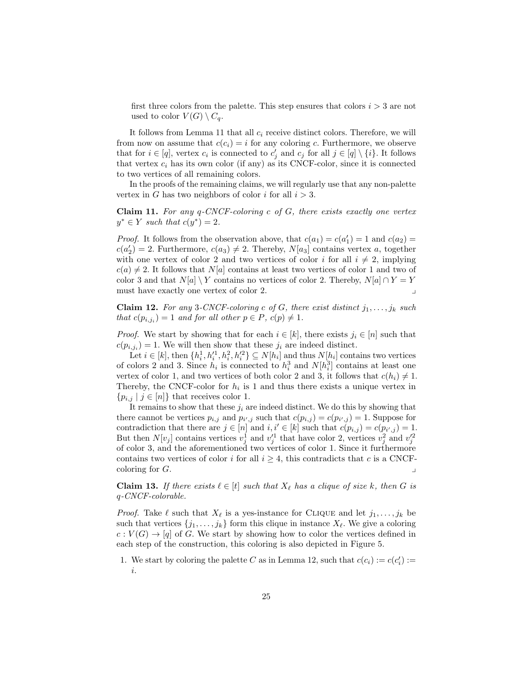first three colors from the palette. This step ensures that colors  $i > 3$  are not used to color  $V(G) \setminus C_q$ .

It follows from Lemma [11](#page-21-1) that all  $c_i$  receive distinct colors. Therefore, we will from now on assume that  $c(c_i) = i$  for any coloring c. Furthermore, we observe that for  $i \in [q]$ , vertex  $c_i$  is connected to  $c'_j$  and  $c_j$  for all  $j \in [q] \setminus \{i\}$ . It follows that vertex  $c_i$  has its own color (if any) as its CNCF-color, since it is connected to two vertices of all remaining colors.

In the proofs of the remaining claims, we will regularly use that any non-palette vertex in G has two neighbors of color i for all  $i > 3$ .

<span id="page-24-0"></span>**Claim 11.** For any  $q$ -CNCF-coloring c of G, there exists exactly one vertex  $y^* \in Y$  such that  $c(y^*) = 2$ .

*Proof.* It follows from the observation above, that  $c(a_1) = c(a'_1) = 1$  and  $c(a_2) =$  $c(a'_2) = 2$ . Furthermore,  $c(a_3) \neq 2$ . Thereby,  $N[a_3]$  contains vertex a, together with one vertex of color 2 and two vertices of color i for all  $i \neq 2$ , implying  $c(a) \neq 2$ . It follows that  $N[a]$  contains at least two vertices of color 1 and two of color 3 and that  $N[a] \setminus Y$  contains no vertices of color 2. Thereby,  $N[a] \cap Y = Y$ must have exactly one vertex of color 2.

<span id="page-24-1"></span>**Claim 12.** For any 3-CNCF-coloring c of G, there exist distinct  $j_1, \ldots, j_k$  such that  $c(p_{i,j_i}) = 1$  and for all other  $p \in P$ ,  $c(p) \neq 1$ .

*Proof.* We start by showing that for each  $i \in [k]$ , there exists  $j_i \in [n]$  such that  $c(p_{i,j_i}) = 1$ . We will then show that these  $j_i$  are indeed distinct.

Let  $i \in [k]$ , then  $\{h_i^1, h_i'^1, h_i^2, h_i'^2\} \subseteq N[h_i]$  and thus  $N[h_i]$  contains two vertices of colors 2 and 3. Since  $h_i$  is connected to  $h_i^3$  and  $N[h_i^3]$  contains at least one vertex of color 1, and two vertices of both color 2 and 3, it follows that  $c(h_i) \neq 1$ . Thereby, the CNCF-color for  $h_i$  is 1 and thus there exists a unique vertex in  ${p_{i,j} | j \in [n]}$  that receives color 1.

It remains to show that these  $j_i$  are indeed distinct. We do this by showing that there cannot be vertices  $p_{i,j}$  and  $p_{i',j}$  such that  $c(p_{i,j}) = c(p_{i',j}) = 1$ . Suppose for contradiction that there are  $j \in [n]$  and  $i, i' \in [k]$  such that  $c(p_{i,j}) = c(p_{i',j}) = 1$ . But then  $N[v_j]$  contains vertices  $v_j^1$  and  $v_j'^1$  that have color 2, vertices  $v_j^2$  and  $v_j'^2$ of color 3, and the aforementioned two vertices of color 1. Since it furthermore contains two vertices of color i for all  $i \geq 4$ , this contradicts that c is a CNCFcoloring for  $G$ .

<span id="page-24-2"></span>**Claim 13.** If there exists  $\ell \in [t]$  such that  $X_{\ell}$  has a clique of size k, then G is q-CNCF-colorable.

*Proof.* Take  $\ell$  such that  $X_{\ell}$  is a yes-instance for CLIQUE and let  $j_1, \ldots, j_k$  be such that vertices  $\{j_1, \ldots, j_k\}$  form this clique in instance  $X_\ell$ . We give a coloring  $c: V(G) \to [q]$  of G. We start by showing how to color the vertices defined in each step of the construction, this coloring is also depicted in Figure [5.](#page-22-0)

1. We start by coloring the palette C as in Lemma [12,](#page-21-2) such that  $c(c_i) := c(c'_i) :=$ i.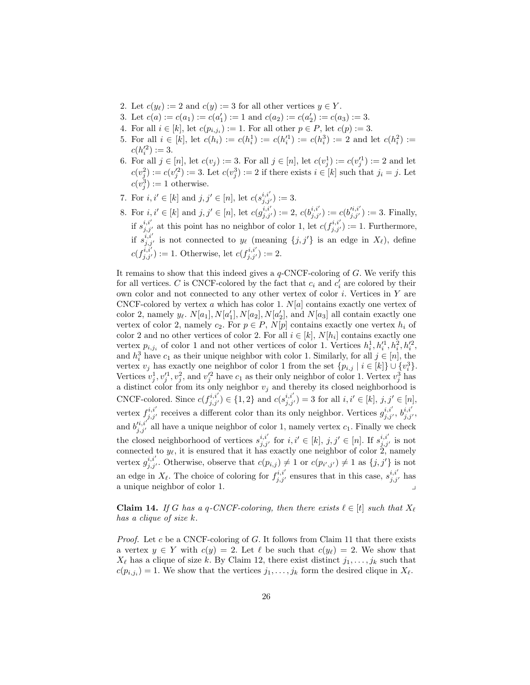- 2. Let  $c(y_\ell) := 2$  and  $c(y) := 3$  for all other vertices  $y \in Y$ .
- 3. Let  $c(a) := c(a_1) := c(a'_1) := 1$  and  $c(a_2) := c(a'_2) := c(a_3) := 3$ .
- 4. For all  $i \in [k]$ , let  $c(p_{i,j_i}) := 1$ . For all other  $p \in P$ , let  $c(p) := 3$ .
- 5. For all  $i \in [k]$ , let  $c(h_i) := c(h_i^1) := c(h_i^1) := c(h_i^3) := 2$  and let  $c(h_i^2) :=$  $c(h_i'^2) := 3.$
- 6. For all  $j \in [n]$ , let  $c(v_j) := 3$ . For all  $j \in [n]$ , let  $c(v_j^1) := c(v_j'^1) := 2$  and let  $c(v_j^2) := c(v_j^2) := 3.$  Let  $c(v_j^3) := 2$  if there exists  $i \in [k]$  such that  $j_i = j$ . Let  $c(v_j^3) := 1$  otherwise.
- 7. For  $i, i' \in [k]$  and  $j, j' \in [n]$ , let  $c(s_{j,j'}^{i,i'}) := 3$ .
- 8. For  $i, i' \in [k]$  and  $j, j' \in [n]$ , let  $c(g_{j,j'}^{i,i'}) := 2$ ,  $c(b_{j,j'}^{i,i'}) := c(b_{j,j'}^{i,i'}) := 3$ . Finally, if  $s_{j,j'}^{i,i'}$  at this point has no neighbor of color 1, let  $c(f_{j,j'}^{i,i'}) := 1$ . Furthermore, if  $s_{j,j'}^{i,i'}$  is not connected to  $y_\ell$  (meaning  $\{j, j'\}$  is an edge in  $X_\ell$ ), define  $c(f_{j,j'}^{i,i'}) := 1.$  Otherwise, let  $c(f_{j,j'}^{i,i'}) := 2.$

It remains to show that this indeed gives a  $q$ -CNCF-coloring of  $G$ . We verify this for all vertices. C is CNCF-colored by the fact that  $c_i$  and  $c'_i$  are colored by their own color and not connected to any other vertex of color  $i$ . Vertices in  $Y$  are CNCF-colored by vertex a which has color 1.  $N[a]$  contains exactly one vertex of color 2, namely  $y_{\ell}$ .  $N[a_1], N[a_1'], N[a_2], N[a_2'],$  and  $N[a_3]$  all contain exactly one vertex of color 2, namely  $c_2$ . For  $p \in P$ ,  $N[p]$  contains exactly one vertex  $h_i$  of color 2 and no other vertices of color 2. For all  $i \in [k]$ ,  $N[h_i]$  contains exactly one vertex  $p_{i,j_i}$  of color 1 and not other vertices of color 1. Vertices  $h_i^1, h_i'^1, h_i^2, h_i'^2$ , and  $h_i^3$  have  $c_1$  as their unique neighbor with color 1. Similarly, for all  $j \in [n]$ , the vertex  $v_j$  has exactly one neighbor of color 1 from the set  $\{p_{i,j} | i \in [k]\} \cup \{v_i^3\}.$ Vertices  $v_j^1, v_j'^1, v_j^2$ , and  $v_j'^2$  have  $c_1$  as their only neighbor of color 1. Vertex  $v_j^3$  has a distinct color from its only neighbor  $v_j$  and thereby its closed neighborhood is CNCF-colored. Since  $c(f_{j,j'}^{i,i'}) \in \{1,2\}$  and  $c(s_{j,j'}^{i,i'}) = 3$  for all  $i, i' \in [k], j, j' \in [n],$ vertex  $f_{j,j'}^{i,i'}$  receives a different color than its only neighbor. Vertices  $g_{j,j'}^{i,i'}$ ,  $b_{j,j'}^{i,i'}$ , and  $b_{j,j'}^{i,i'}$  all have a unique neighbor of color 1, namely vertex  $c_1$ . Finally we check the closed neighborhood of vertices  $s_{j,j'}^{i,i'}$  for  $i,i' \in [k], j,j' \in [n]$ . If  $s_{j,j'}^{i,i'}$  is not connected to  $y_{\ell}$ , it is ensured that it has exactly one neighbor of color 2, namely vertex  $g_{j,j'}^{i,i'}$ . Otherwise, observe that  $c(p_{i,j}) \neq 1$  or  $c(p_{i',j'}) \neq 1$  as  $\{j,j'\}$  is not an edge in  $X_{\ell}$ . The choice of coloring for  $f_{j,j'}^{i,i'}$  ensures that in this case,  $s_{j,j'}^{i,i'}$  has a unique neighbor of color 1.

<span id="page-25-0"></span>**Claim 14.** If G has a q-CNCF-coloring, then there exists  $\ell \in [t]$  such that  $X_{\ell}$ has a clique of size k.

*Proof.* Let c be a CNCF-coloring of G. It follows from Claim [11](#page-24-0) that there exists a vertex  $y \in Y$  with  $c(y) = 2$ . Let  $\ell$  be such that  $c(y_\ell) = 2$ . We show that  $X_{\ell}$  has a clique of size k. By Claim [12,](#page-24-1) there exist distinct  $j_1, \ldots, j_k$  such that  $c(p_{i,j_i}) = 1$ . We show that the vertices  $j_1, \ldots, j_k$  form the desired clique in  $X_{\ell}$ .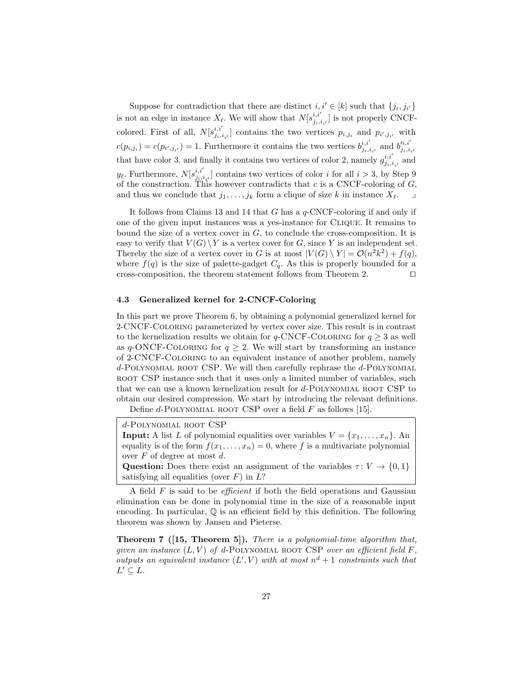Suppose for contradiction that there are distinct  $i, i' \in [k]$  such that  $\{j_i, j_{i'}\}$ is not an edge in instance  $X_{\ell}$ . We will show that  $N[s_{i,j}^{i,i'}]$  $\binom{i,i}{j_i,i_{i'}}$  is not properly CNCFcolored. First of all,  $N[s_{i,j}^{i,i'}]$  $[i,i_{i},i_{i'}]$  contains the two vertices  $p_{i,j_i}$  and  $p_{i',j_{i'}}$  with  $c(p_{i,j_i}) = c(p_{i',j_{i'}}) = 1$ . Furthermore it contains the two vertices  $b_{j_i,i}^{i,i'}$  $_{j_i,i_{i'}}^{i,i'}$  and  $b'_{j_i,i}^{i,i'}$  $j_i, i_i$ that have color 3, and finally it contains two vertices of color 2, namely  $g_{ij}^{i,i'}$  $j_{i,i_{i'}}^{i,i}$  and  $y_{\ell}$ . Furthermore,  $N[s_{i,j}^{i,i'}]$  $\left[\begin{array}{c}i,i\\j_i,i_{i'}\end{array}\right]$  contains two vertices of color i for all  $i > 3$ , by Step [9](#page-23-2) of the construction. This however contradicts that c is a CNCF-coloring of  $G$ , and thus we conclude that  $j_1, \ldots, j_k$  form a clique of size k in instance  $X_\ell$ .

It follows from Claims [13](#page-24-2) and [14](#page-25-0) that G has a q-CNCF-coloring if and only if one of the given input instances was a yes-instance for Clique. It remains to bound the size of a vertex cover in  $G$ , to conclude the cross-composition. It is easy to verify that  $V(G) \backslash Y$  is a vertex cover for G, since Y is an independent set. Thereby the size of a vertex cover in G is at most  $|V(G) \setminus Y| = \mathcal{O}(n^2k^2) + f(q)$ , where  $f(q)$  is the size of palette-gadget  $C_q$ . As this is properly bounded for a cross-composition, the theorem statement follows from Theorem [2.](#page-5-1)  $\Box$ 

### <span id="page-26-0"></span>4.3 Generalized kernel for 2-CNCF-Coloring

In this part we prove Theorem [6,](#page-13-4) by obtaining a polynomial generalized kernel for 2-CNCF-Coloring parameterized by vertex cover size. This result is in contrast to the kernelization results we obtain for  $q$ -CNCF-COLORING for  $q \geq 3$  as well as q-ONCF-COLORING for  $q \geq 2$ . We will start by transforming an instance of 2-CNCF-Coloring to an equivalent instance of another problem, namely  $d$ -POLYNOMIAL ROOT CSP. We will then carefully rephrase the  $d$ -POLYNOMIAL ROOT CSP instance such that it uses only a limited number of variables, such that we can use a known kernelization result for d-Polynomial root CSP to obtain our desired compression. We start by introducing the relevant definitions.

Define d-POLYNOMIAL ROOT CSP over a field  $F$  as follows [\[15\]](#page-40-9).

d-Polynomial root CSP **Input:** A list L of polynomial equalities over variables  $V = \{x_1, \ldots, x_n\}$ . An equality is of the form  $f(x_1, \ldots, x_n) = 0$ , where f is a multivariate polynomial over F of degree at most d. Question: Does there exist an assignment of the variables  $\tau: V \to \{0, 1\}$ satisfying all equalities (over  $F$ ) in  $L$ ?

A field  $F$  is said to be *efficient* if both the field operations and Gaussian elimination can be done in polynomial time in the size of a reasonable input encoding. In particular,  $\mathbb{Q}$  is an efficient field by this definition. The following theorem was shown by Jansen and Pieterse.

<span id="page-26-1"></span>Theorem 7 ([\[15,](#page-40-9) Theorem 5]). There is a polynomial-time algorithm that, given an instance  $(L, V)$  of d-POLYNOMIAL ROOT CSP over an efficient field F, outputs an equivalent instance  $(L', V)$  with at most  $n^d + 1$  constraints such that  $L' \subseteq L$ .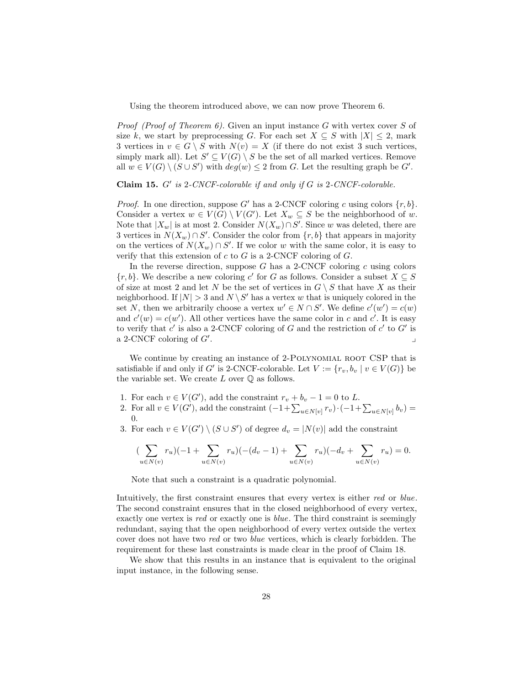<span id="page-27-3"></span>Using the theorem introduced above, we can now prove Theorem [6.](#page-13-4)

*Proof (Proof of Theorem [6\)](#page-13-4).* Given an input instance G with vertex cover S of size k, we start by preprocessing G. For each set  $X \subseteq S$  with  $|X| \leq 2$ , mark 3 vertices in  $v \in G \setminus S$  with  $N(v) = X$  (if there do not exist 3 such vertices, simply mark all). Let  $S' \subseteq V(G) \setminus S$  be the set of all marked vertices. Remove all  $w \in V(G) \setminus (S \cup S')$  with  $deg(w) \leq 2$  from G. Let the resulting graph be G'.

Claim 15.  $G'$  is 2-CNCF-colorable if and only if  $G$  is 2-CNCF-colorable.

*Proof.* In one direction, suppose G' has a 2-CNCF coloring c using colors  $\{r, b\}$ . Consider a vertex  $w \in V(G) \setminus V(G')$ . Let  $X_w \subseteq S$  be the neighborhood of w. Note that  $|X_w|$  is at most 2. Consider  $N(X_w) \cap S'$ . Since w was deleted, there are 3 vertices in  $N(X_w) \cap S'$ . Consider the color from  $\{r, b\}$  that appears in majority on the vertices of  $N(X_w) \cap S'$ . If we color w with the same color, it is easy to verify that this extension of  $c$  to  $G$  is a 2-CNCF coloring of  $G$ .

In the reverse direction, suppose G has a 2-CNCF coloring c using colors  $\{r, b\}$ . We describe a new coloring c' for G as follows. Consider a subset  $X \subseteq S$ of size at most 2 and let N be the set of vertices in  $G \setminus S$  that have X as their neighborhood. If  $|N| > 3$  and  $N \setminus S'$  has a vertex w that is uniquely colored in the set N, then we arbitrarily choose a vertex  $w' \in N \cap S'$ . We define  $c'(w') = c(w)$ and  $c'(w) = c(w')$ . All other vertices have the same color in c and c'. It is easy to verify that  $c'$  is also a 2-CNCF coloring of G and the restriction of  $c'$  to  $G'$  is a 2-CNCF coloring of  $G'$ . . The contract of the contract of the contract of the contract of the contract of the contract of the contract of the contract of the contract of the contract of the contract of the contract of the contract of the contrac

We continue by creating an instance of 2-POLYNOMIAL ROOT CSP that is satisfiable if and only if G' is 2-CNCF-colorable. Let  $V := \{r_v, b_v \mid v \in V(G)\}\$  be the variable set. We create  $L$  over  $\mathbb Q$  as follows.

- <span id="page-27-0"></span>1. For each  $v \in V(G')$ , add the constraint  $r_v + b_v - 1 = 0$  to L.
- <span id="page-27-1"></span>2. For all  $v \in V(G')$ , add the constraint  $(-1 + \sum_{u \in N[v]} r_v) \cdot (-1 + \sum_{u \in N[v]} b_v) =$ 0.
- <span id="page-27-2"></span>3. For each  $v \in V(G') \setminus (S \cup S')$  of degree  $d_v = |N(v)|$  add the constraint

$$
(\sum_{u \in N(v)} r_u)(-1 + \sum_{u \in N(v)} r_u)(-(d_v - 1) + \sum_{u \in N(v)} r_u)(-d_v + \sum_{u \in N(v)} r_u) = 0.
$$

Note that such a constraint is a quadratic polynomial.

Intuitively, the first constraint ensures that every vertex is either red or blue. The second constraint ensures that in the closed neighborhood of every vertex, exactly one vertex is red or exactly one is *blue*. The third constraint is seemingly redundant, saying that the open neighborhood of every vertex outside the vertex cover does not have two red or two blue vertices, which is clearly forbidden. The requirement for these last constraints is made clear in the proof of Claim [18.](#page-29-0)

<span id="page-27-4"></span>We show that this results in an instance that is equivalent to the original input instance, in the following sense.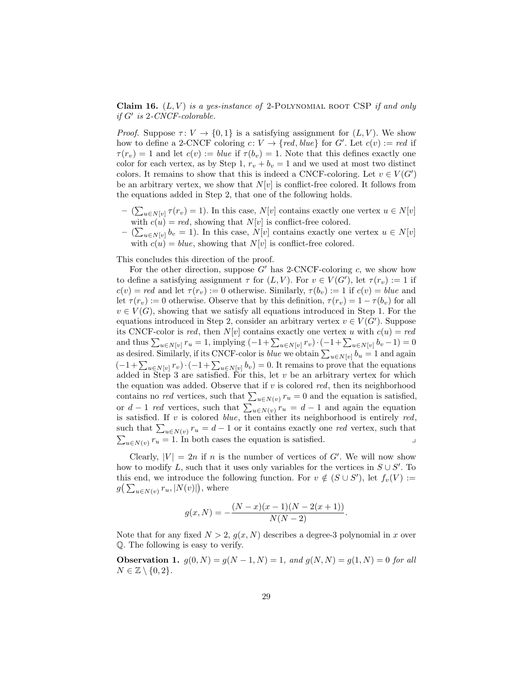Claim 16.  $(L, V)$  is a yes-instance of 2-POLYNOMIAL ROOT CSP if and only  $if G'$  is 2-CNCF-colorable.

*Proof.* Suppose  $\tau: V \to \{0, 1\}$  is a satisfying assignment for  $(L, V)$ . We show how to define a 2-CNCF coloring  $c: V \to \{red, blue\}$  for G'. Let  $c(v) := red$  if  $\tau(r_v) = 1$  and let  $c(v) := blue$  if  $\tau(b_v) = 1$ . Note that this defines exactly one color for each vertex, as by Step [1,](#page-27-0)  $r_v + b_v = 1$  and we used at most two distinct colors. It remains to show that this is indeed a CNCF-coloring. Let  $v \in V(G')$ be an arbitrary vertex, we show that  $N[v]$  is conflict-free colored. It follows from the equations added in Step [2,](#page-27-1) that one of the following holds.

- $(\sum_{u \in N[v]} \tau(r_v) = 1)$ . In this case,  $N[v]$  contains exactly one vertex  $u \in N[v]$ with  $c(u) = red$ , showing that  $N[v]$  is conflict-free colored.
- $-$  ( $\sum_{u \in N[v]} b_v = 1$ ). In this case,  $N[v]$  contains exactly one vertex  $u \in N[v]$ with  $c(u) = blue$ , showing that  $N[v]$  is conflict-free colored.

This concludes this direction of the proof.

For the other direction, suppose  $G'$  has 2-CNCF-coloring c, we show how to define a satisfying assignment  $\tau$  for  $(L, V)$ . For  $v \in V(G')$ , let  $\tau(r_v) := 1$  if  $c(v) = red$  and let  $\tau(r_v) := 0$  otherwise. Similarly,  $\tau(b_v) := 1$  if  $c(v) = blue$  and let  $\tau(r_v) := 0$  otherwise. Observe that by this definition,  $\tau(r_v) = 1 - \tau(b_v)$  for all  $v \in V(G)$ , showing that we satisfy all equations introduced in Step [1.](#page-27-0) For the equations introduced in Step [2,](#page-27-1) consider an arbitrary vertex  $v \in V(G')$ . Suppose its CNCF-color is red, then  $N[v]$  contains exactly one vertex u with  $c(u) = red$ and thus  $\sum_{u \in N[v]} r_u = 1$ , implying  $(-1 + \sum_{u \in N[v]} r_v) \cdot (-1 + \sum_{u \in N[v]} b_v - 1) = 0$ as desired. Similarly, if its CNCF-color is *blue* we obtain  $\sum_{u \in N[v]} b_u = 1$  and again  $(-1+\sum_{u\in N[v]}r_v)\cdot(-1+\sum_{u\in N[v]}b_v)=0.$  It remains to prove that the equations added in Step [3](#page-27-2) are satisfied. For this, let  $v$  be an arbitrary vertex for which the equation was added. Observe that if  $v$  is colored red, then its neighborhood contains no *red* vertices, such that  $\sum_{u \in N(v)} r_u = 0$  and the equation is satisfied, or  $d-1$  red vertices, such that  $\sum_{u\in N(v)} r_u = d-1$  and again the equation is satisfied. If  $v$  is colored *blue*, then either its neighborhood is entirely  $red$ , such that  $\sum_{u \in N(v)} r_u = d - 1$  or it contains exactly one red vertex, such that  $\sum_{u \in N(v)} r_u = 1$ . In both cases the equation is satisfied.

Clearly,  $|V| = 2n$  if n is the number of vertices of G'. We will now show how to modify L, such that it uses only variables for the vertices in  $S \cup S'$ . To this end, we introduce the following function. For  $v \notin (S \cup S')$ , let  $f_v(V) :=$  $g\big(\sum_{u\in N(v)} r_u, |N(v)|\big)$ , where

<span id="page-28-0"></span>
$$
g(x,N) = -\frac{(N-x)(x-1)(N-2(x+1))}{N(N-2)}.
$$

Note that for any fixed  $N > 2$ ,  $g(x, N)$  describes a degree-3 polynomial in x over Q. The following is easy to verify.

**Observation 1.**  $g(0, N) = g(N - 1, N) = 1$ , and  $g(N, N) = g(1, N) = 0$  for all  $N \in \mathbb{Z} \setminus \{0,2\}.$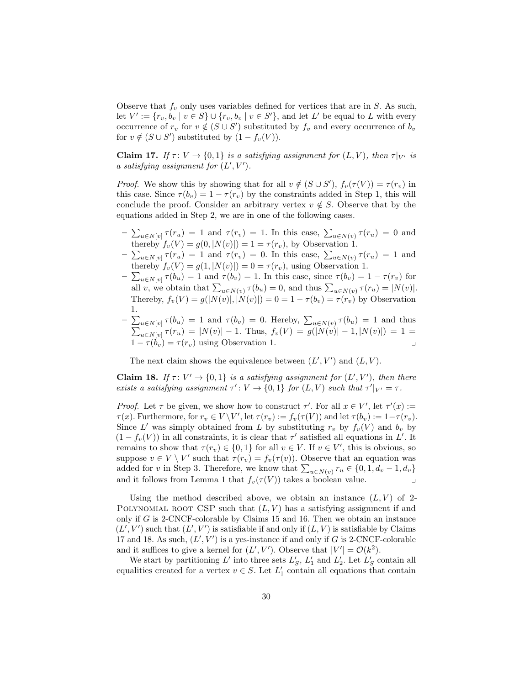Observe that  $f_v$  only uses variables defined for vertices that are in S. As such, let  $V' := \{r_v, b_v \mid v \in S\} \cup \{r_v, b_v \mid v \in S'\}$ , and let  $L'$  be equal to  $L$  with every occurrence of  $r_v$  for  $v \notin (S \cup S')$  substituted by  $f_v$  and every occurrence of  $b_v$ for  $v \notin (S \cup S')$  substituted by  $(1 - f_v(V))$ .

<span id="page-29-1"></span>**Claim 17.** If  $\tau: V \to \{0, 1\}$  is a satisfying assignment for  $(L, V)$ , then  $\tau|_{V'}$  is a satisfying assignment for  $(L', V')$ .

*Proof.* We show this by showing that for all  $v \notin (S \cup S')$ ,  $f_v(\tau(V)) = \tau(r_v)$  in this case. Since  $\tau(b_v) = 1 - \tau(r_v)$  by the constraints added in Step [1,](#page-27-0) this will conclude the proof. Consider an arbitrary vertex  $v \notin S$ . Observe that by the equations added in Step [2,](#page-27-1) we are in one of the following cases.

- $-\sum_{u\in N[v]} \tau(r_u) = 1$  and  $\tau(r_v) = 1$ . In this case,  $\sum_{u\in N(v)} \tau(r_u) = 0$  and thereby  $f_v(V) = g(0, |N(v)|) = 1 = \tau(r_v)$ , by Observation [1.](#page-28-0)
- $-\sum_{u\in N[v]} \tau(r_u) = 1$  and  $\tau(r_v) = 0$ . In this case,  $\sum_{u\in N(v)} \tau(r_u) = 1$  and thereby  $f_v(V) = g(1, |N(v)|) = 0 = \tau(r_v)$ , using Observation [1.](#page-28-0)
- $-\sum_{u\in N[v]} \tau(b_u) = 1$  and  $\tau(b_v) = 1$ . In this case, since  $\tau(b_v) = 1 \tau(r_v)$  for all v, we obtain that  $\sum_{u \in N(v)} \tau(b_u) = 0$ , and thus  $\sum_{u \in N(v)} \tau(r_u) = |N(v)|$ . Thereby,  $f_v(V) = g(|N(v)|, |N(v)|) = 0 = 1 - \tau(b_v) = \tau(r_v)$  by Observation [1.](#page-28-0)
- $-\sum_{u\in N[v]} \tau(b_u) = 1$  and  $\tau(b_v) = 0$ . Hereby,  $\sum_{u\in N(v)} \tau(b_u) = 1$  and thus  $\sum_{u \in N[v]} \tau(r_u) = |N(v)| - 1$ . Thus,  $f_v(V) = g(|N(v)| - 1, |N(v)|) = 1 =$  $1 - \tau(b_v) = \tau(r_v)$  using Observation [1.](#page-28-0)

<span id="page-29-0"></span>The next claim shows the equivalence between  $(L', V')$  and  $(L, V)$ .

**Claim 18.** If  $\tau: V' \to \{0, 1\}$  is a satisfying assignment for  $(L', V')$ , then there exists a satisfying assignment  $\tau': V \to \{0,1\}$  for  $(L, V)$  such that  $\tau'|_{V'} = \tau$ .

*Proof.* Let  $\tau$  be given, we show how to construct  $\tau'$ . For all  $x \in V'$ , let  $\tau'(x) :=$  $\tau(x)$ . Furthermore, for  $r_v \in V \backslash V'$ , let  $\tau(r_v) := f_v(\tau(V))$  and let  $\tau(b_v) := 1 - \tau(r_v)$ . Since  $L'$  was simply obtained from  $L$  by substituting  $r_v$  by  $f_v(V)$  and  $b_v$  by  $(1 - f_v(V))$  in all constraints, it is clear that  $\tau'$  satisfied all equations in L'. It remains to show that  $\tau(r_v) \in \{0, 1\}$  for all  $v \in V$ . If  $v \in V'$ , this is obvious, so suppose  $v \in V \setminus V'$  such that  $\tau(r_v) = f_v(\tau(v))$ . Observe that an equation was added for v in Step [3.](#page-27-2) Therefore, we know that  $\sum_{u \in N(v)} r_u \in \{0, 1, d_v - 1, d_v\}$ and it follows from Lemma [1](#page-28-0) that  $f_v(\tau(V))$  takes a boolean value.

Using the method described above, we obtain an instance  $(L, V)$  of 2-POLYNOMIAL ROOT CSP such that  $(L, V)$  has a satisfying assignment if and only if  $G$  is 2-CNCF-colorable by Claims [15](#page-27-3) and [16.](#page-27-4) Then we obtain an instance  $(L', V')$  such that  $(L', V')$  is satisfiable if and only if  $(L, V)$  is satisfiable by Claims [17](#page-29-1) and [18.](#page-29-0) As such,  $(L', V')$  is a yes-instance if and only if G is 2-CNCF-colorable and it suffices to give a kernel for  $(L', V')$ . Observe that  $|V'| = \mathcal{O}(k^2)$ .

We start by partitioning  $L'$  into three sets  $L'_{S}$ ,  $L'_{1}$  and  $L'_{2}$ . Let  $L'_{S}$  contain all equalities created for a vertex  $v \in S$ . Let  $L'_1$  contain all equations that contain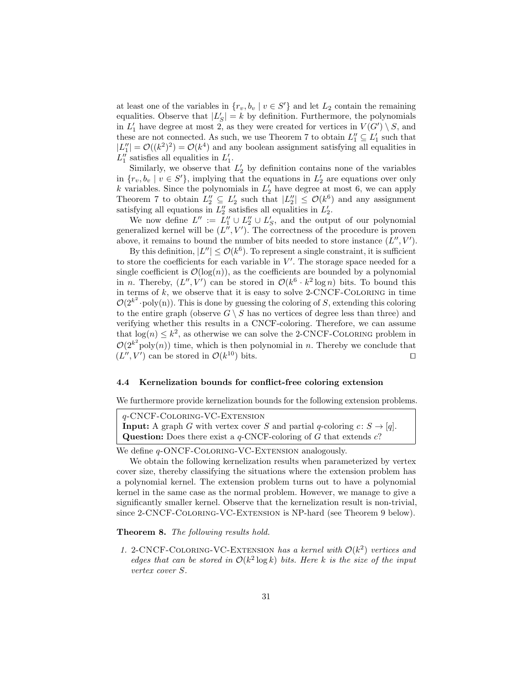at least one of the variables in  $\{r_v, b_v \mid v \in S'\}$  and let  $L_2$  contain the remaining equalities. Observe that  $|L'_S| = k$  by definition. Furthermore, the polynomials in  $L'_1$  have degree at most  $2$ , as they were created for vertices in  $V(G') \setminus S$ , and these are not connected. As such, we use Theorem [7](#page-26-1) to obtain  $L_1'' \subseteq L_1'$  such that  $|L''_1| = \mathcal{O}((k^2)^2) = \mathcal{O}(k^4)$  and any boolean assignment satisfying all equalities in  $L_1''$  satisfies all equalities in  $L_1'$ .

Similarly, we observe that  $L'_2$  by definition contains none of the variables in  $\{r_v, b_v \mid v \in S'\}$ , implying that the equations in  $L'_2$  are equations over only k variables. Since the polynomials in  $L'_2$  have degree at most 6, we can apply Theorem [7](#page-26-1) to obtain  $L_2'' \subseteq L_2'$  such that  $|L_2''| \leq \mathcal{O}(k^6)$  and any assignment satisfying all equations in  $L_2''$  satisfies all equalities in  $L_2'$ .

We now define  $L'' := L''_1 \cup L''_2 \cup L'_S$ , and the output of our polynomial generalized kernel will be  $(L'', V')$ . The correctness of the procedure is proven above, it remains to bound the number of bits needed to store instance  $(L'', V')$ .

By this definition,  $|L''| \leq \mathcal{O}(k^6)$ . To represent a single constraint, it is sufficient to store the coefficients for each variable in  $V'$ . The storage space needed for a single coefficient is  $\mathcal{O}(\log(n))$ , as the coefficients are bounded by a polynomial in *n*. Thereby,  $(L'', V')$  can be stored in  $\mathcal{O}(k^6 \cdot k^2 \log n)$  bits. To bound this in terms of  $k$ , we observe that it is easy to solve 2-CNCF-COLORING in time  $\mathcal{O}(2^{k^2} \cdot \text{poly}(n))$ . This is done by guessing the coloring of S, extending this coloring to the entire graph (observe  $G \setminus S$  has no vertices of degree less than three) and verifying whether this results in a CNCF-coloring. Therefore, we can assume that  $log(n) \leq k^2$ , as otherwise we can solve the 2-CNCF-COLORING problem in  $\mathcal{O}(2^{k^2} \text{poly}(n))$  time, which is then polynomial in n. Thereby we conclude that  $(L'', V')$  can be stored in  $\mathcal{O}(k^{10})$  bits.

#### <span id="page-30-0"></span>4.4 Kernelization bounds for conflict-free coloring extension

We furthermore provide kernelization bounds for the following extension problems.

q-CNCF-Coloring-VC-Extension **Input:** A graph G with vertex cover S and partial q-coloring  $c: S \rightarrow [q]$ . **Question:** Does there exist a  $q$ -CNCF-coloring of G that extends  $c$ ?

We define  $q$ -ONCF-COLORING-VC-EXTENSION analogously.

We obtain the following kernelization results when parameterized by vertex cover size, thereby classifying the situations where the extension problem has a polynomial kernel. The extension problem turns out to have a polynomial kernel in the same case as the normal problem. However, we manage to give a significantly smaller kernel. Observe that the kernelization result is non-trivial, since 2-CNCF-Coloring-VC-Extension is NP-hard (see Theorem [9](#page-31-0) below).

<span id="page-30-1"></span>Theorem 8. The following results hold.

1. 2-CNCF-COLORING-VC-EXTENSION has a kernel with  $O(k^2)$  vertices and edges that can be stored in  $O(k^2 \log k)$  bits. Here k is the size of the input vertex cover S.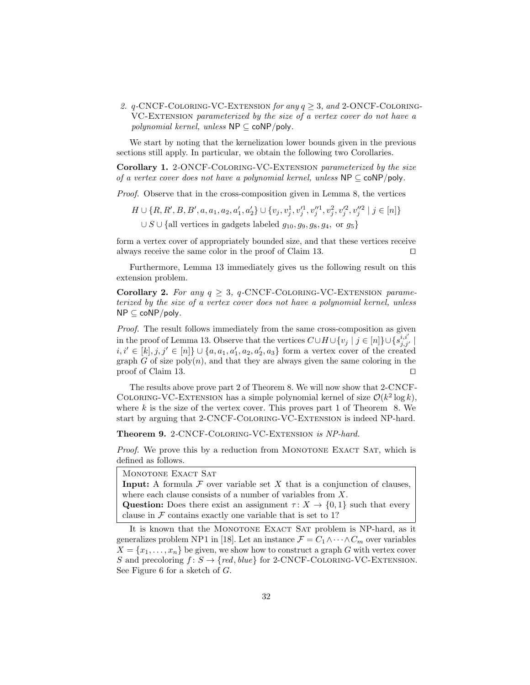2.  $q$ -CNCF-COLORING-VC-EXTENSION for any  $q \geq 3$ , and 2-ONCF-COLORING-VC-Extension parameterized by the size of a vertex cover do not have a *polynomial kernel, unless*  $NP \subseteq coNP/poly$ .

We start by noting that the kernelization lower bounds given in the previous sections still apply. In particular, we obtain the following two Corollaries.

Corollary 1. 2-ONCF-COLORING-VC-EXTENSION parameterized by the size of a vertex cover does not have a polynomial kernel, unless  $NP \subseteq \text{coNP/poly}$ .

Proof. Observe that in the cross-composition given in Lemma [8,](#page-13-3) the vertices

$$
H \cup \{R, R', B, B', a, a_1, a_2, a'_1, a'_2\} \cup \{v_j, v_j^1, v_j'^1, v_j'^1, v_j^2, v_j'^2, v_j''^2 \mid j \in [n]\}
$$
  

$$
\cup S \cup \{\text{all vertices in gadegets labeled } g_{10}, g_9, g_8, g_4, \text{ or } g_5\}
$$

form a vertex cover of appropriately bounded size, and that these vertices receive always receive the same color in the proof of Claim [13.](#page-24-2)  $\square$ 

Furthermore, Lemma [13](#page-22-1) immediately gives us the following result on this extension problem.

Corollary 2. For any  $q \geq 3$ , q-CNCF-COLORING-VC-EXTENSION parameterized by the size of a vertex cover does not have a polynomial kernel, unless NP ⊆ coNP/poly.

Proof. The result follows immediately from the same cross-composition as given in the proof of Lemma [13.](#page-22-1) Observe that the vertices  $C \cup H \cup \{v_j \mid j \in [n]\} \cup \{s_{j,j'}^{i,i'}\}$  $i, i' \in [k], j, j' \in [n]$ } ∪ {a, a<sub>1</sub>, a<sub>1</sub>, a<sub>2</sub>, a<sub>2</sub>, a<sub>3</sub>} form a vertex cover of the created graph G of size  $poly(n)$ , and that they are always given the same coloring in the proof of Claim [13.](#page-24-2)  $\Box$ 

The results above prove part 2 of Theorem [8.](#page-30-1) We will now show that 2-CNCF-COLORING-VC-EXTENSION has a simple polynomial kernel of size  $\mathcal{O}(k^2 \log k)$ , where  $k$  is the size of the vertex cover. This proves part 1 of Theorem [8.](#page-30-1) We start by arguing that 2-CNCF-Coloring-VC-Extension is indeed NP-hard.

<span id="page-31-0"></span>Theorem 9. 2-CNCF-COLORING-VC-EXTENSION is NP-hard.

*Proof.* We prove this by a reduction from MONOTONE EXACT SAT, which is defined as follows.

| MONOTONE EXACT SAT                                                                         |
|--------------------------------------------------------------------------------------------|
| <b>Input:</b> A formula $\mathcal F$ over variable set X that is a conjunction of clauses, |
| where each clause consists of a number of variables from $X$ .                             |
| <b>Question:</b> Does there exist an assignment $\tau: X \to \{0,1\}$ such that every      |
| clause in $\mathcal F$ contains exactly one variable that is set to 1?                     |

It is known that the MONOTONE EXACT SAT problem is NP-hard, as it generalizes problem NP1 in [\[18\]](#page-40-10). Let an instance  $\mathcal{F} = C_1 \wedge \cdots \wedge C_m$  over variables  $X = \{x_1, \ldots, x_n\}$  be given, we show how to construct a graph G with vertex cover S and precoloring  $f: S \to \{red, blue\}$  for 2-CNCF-COLORING-VC-EXTENSION. See Figure [6](#page-32-0) for a sketch of G.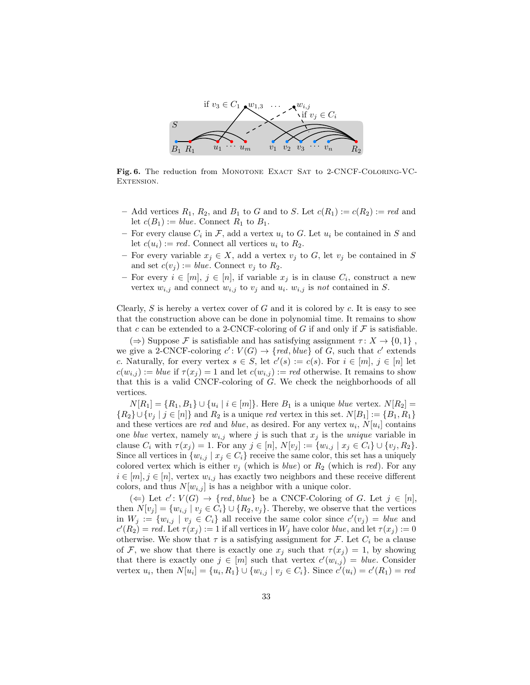

<span id="page-32-0"></span>Fig. 6. The reduction from MONOTONE EXACT SAT to 2-CNCF-COLORING-VC-EXTENSION.

- Add vertices  $R_1, R_2$ , and  $B_1$  to G and to S. Let  $c(R_1) := c(R_2) := red$  and let  $c(B_1) := blue$ . Connect  $R_1$  to  $B_1$ .
- For every clause  $C_i$  in  $\mathcal{F}$ , add a vertex  $u_i$  to  $G$ . Let  $u_i$  be contained in  $S$  and let  $c(u_i) := red$ . Connect all vertices  $u_i$  to  $R_2$ .
- For every variable  $x_j \in X$ , add a vertex  $v_j$  to G, let  $v_j$  be contained in S and set  $c(v_j) := blue$ . Connect  $v_j$  to  $R_2$ .
- For every  $i \in [m], j \in [n]$ , if variable  $x_j$  is in clause  $C_i$ , construct a new vertex  $w_{i,j}$  and connect  $w_{i,j}$  to  $v_j$  and  $u_i$ .  $w_{i,j}$  is not contained in S.

Clearly,  $S$  is hereby a vertex cover of  $G$  and it is colored by  $c$ . It is easy to see that the construction above can be done in polynomial time. It remains to show that c can be extended to a 2-CNCF-coloring of G if and only if  $\mathcal F$  is satisfiable.

 $(\Rightarrow)$  Suppose F is satisfiable and has satisfying assignment  $\tau: X \to \{0, 1\}$ , we give a 2-CNCF-coloring  $c' : V(G) \to \{ red, blue \}$  of G, such that c' extends c. Naturally, for every vertex  $s \in S$ , let  $c'(s) := c(s)$ . For  $i \in [m], j \in [n]$  let  $c(w_{i,j}) := blue$  if  $\tau(x_j) = 1$  and let  $c(w_{i,j}) := red$  otherwise. It remains to show that this is a valid CNCF-coloring of G. We check the neighborhoods of all vertices.

 $N[R_1] = \{R_1, B_1\} \cup \{u_i \mid i \in [m]\}.$  Here  $B_1$  is a unique *blue* vertex.  $N[R_2] =$  ${R_2\cup \{v_i \mid j \in [n]\}\text{ and } R_2 \text{ is a unique } red \text{ vertex in this set. } N[B_1] := {B_1, R_1\}$ and these vertices are *red* and *blue*, as desired. For any vertex  $u_i$ ,  $N[u_i]$  contains one blue vertex, namely  $w_{i,j}$  where j is such that  $x_j$  is the unique variable in clause  $C_i$  with  $\tau(x_j) = 1$ . For any  $j \in [n]$ ,  $N[v_j] := \{w_{i,j} \mid x_j \in C_i\} \cup \{v_j, R_2\}.$ Since all vertices in  $\{w_{i,j} \mid x_j \in C_i\}$  receive the same color, this set has a uniquely colored vertex which is either  $v_j$  (which is *blue*) or  $R_2$  (which is *red*). For any  $i \in [m], j \in [n]$ , vertex  $w_{i,j}$  has exactly two neighbors and these receive different colors, and thus  $N[w_{i,j}]$  is has a neighbor with a unique color.

 $(\Leftarrow)$  Let  $c' : V(G) \rightarrow \{ red, blue \}$  be a CNCF-Coloring of G. Let  $j \in [n],$ then  $N[v_j] = \{w_{i,j} \mid v_j \in C_i\} \cup \{R_2, v_j\}$ . Thereby, we observe that the vertices in  $W_j := \{w_{i,j} \mid v_j \in C_i\}$  all receive the same color since  $c'(v_j) = blue$  and  $c'(R_2) = red.$  Let  $\tau(x_j) := 1$  if all vertices in  $W_j$  have color *blue*, and let  $\tau(x_j) := 0$ otherwise. We show that  $\tau$  is a satisfying assignment for  $\mathcal{F}$ . Let  $C_i$  be a clause of F, we show that there is exactly one  $x_j$  such that  $\tau(x_j) = 1$ , by showing that there is exactly one  $j \in [m]$  such that vertex  $c'(w_{i,j}) = blue$ . Consider vertex  $u_i$ , then  $N[u_i] = \{u_i, R_1\} \cup \{w_{i,j} \mid v_j \in C_i\}$ . Since  $c'(u_i) = c'(R_1) = red$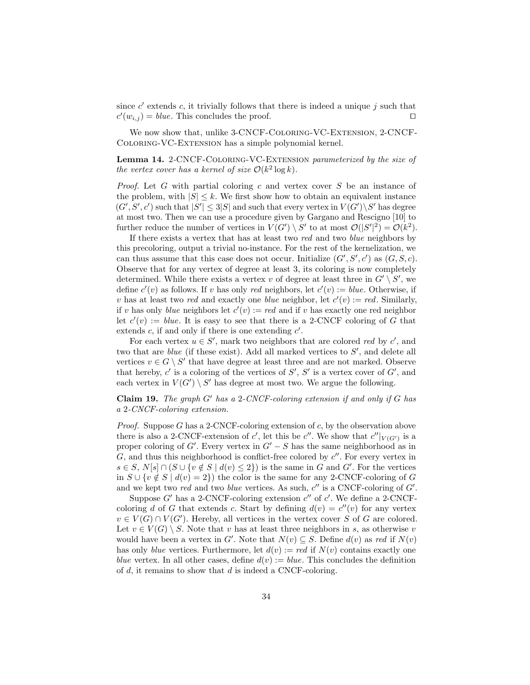since  $c'$  extends c, it trivially follows that there is indeed a unique j such that  $c'(w_{i,j}) = blue$ . This concludes the proof.

We now show that, unlike 3-CNCF-Coloring-VC-Extension, 2-CNCF-Coloring-VC-Extension has a simple polynomial kernel.

Lemma 14. 2-CNCF-COLORING-VC-EXTENSION parameterized by the size of the vertex cover has a kernel of size  $\mathcal{O}(k^2 \log k)$ .

*Proof.* Let G with partial coloring c and vertex cover S be an instance of the problem, with  $|S| \leq k$ . We first show how to obtain an equivalent instance  $(G', S', c')$  such that  $|S'| \leq 3|S|$  and such that every vertex in  $V(G') \backslash S'$  has degree at most two. Then we can use a procedure given by Gargano and Rescigno [\[10\]](#page-40-5) to further reduce the number of vertices in  $V(G') \setminus S'$  to at most  $\mathcal{O}(|S'|^2) = \mathcal{O}(k^2)$ .

If there exists a vertex that has at least two red and two blue neighbors by this precoloring, output a trivial no-instance. For the rest of the kernelization, we can thus assume that this case does not occur. Initialize  $(G', S', c')$  as  $(G, S, c)$ . Observe that for any vertex of degree at least 3, its coloring is now completely determined. While there exists a vertex v of degree at least three in  $G' \setminus S'$ , we define  $c'(v)$  as follows. If v has only red neighbors, let  $c'(v) := blue$ . Otherwise, if v has at least two red and exactly one blue neighbor, let  $c'(v) := red$ . Similarly, if v has only *blue* neighbors let  $c'(v) := red$  and if v has exactly one red neighbor let  $c'(v) := blue$ . It is easy to see that there is a 2-CNCF coloring of G that extends  $c$ , if and only if there is one extending  $c'$ .

For each vertex  $u \in S'$ , mark two neighbors that are colored red by c', and two that are *blue* (if these exist). Add all marked vertices to  $S'$ , and delete all vertices  $v \in G \setminus S'$  that have degree at least three and are not marked. Observe that hereby,  $c'$  is a coloring of the vertices of  $S'$ ,  $S'$  is a vertex cover of  $G'$ , and each vertex in  $V(G') \setminus S'$  has degree at most two. We argue the following.

**Claim 19.** The graph  $G'$  has a 2-CNCF-coloring extension if and only if  $G$  has a 2-CNCF-coloring extension.

*Proof.* Suppose G has a 2-CNCF-coloring extension of  $c$ , by the observation above there is also a 2-CNCF-extension of c', let this be c''. We show that  $c''|_{V(G')}$  is a proper coloring of G'. Every vertex in  $G'-S$  has the same neighborhood as in  $G$ , and thus this neighborhood is conflict-free colored by  $c''$ . For every vertex in  $s \in S$ ,  $N[s] \cap (S \cup \{v \notin S \mid d(v) \leq 2\})$  is the same in G and G'. For the vertices in  $S \cup \{v \notin S \mid d(v) = 2\}$  the color is the same for any 2-CNCF-coloring of G and we kept two red and two blue vertices. As such,  $c''$  is a CNCF-coloring of  $G'$ .

Suppose  $G'$  has a 2-CNCF-coloring extension  $c''$  of  $c'$ . We define a 2-CNCFcoloring d of G that extends c. Start by defining  $d(v) = c''(v)$  for any vertex  $v \in V(G) \cap V(G')$ . Hereby, all vertices in the vertex cover S of G are colored. Let  $v \in V(G) \setminus S$ . Note that v has at least three neighbors in s, as otherwise v would have been a vertex in G'. Note that  $N(v) \subseteq S$ . Define  $d(v)$  as red if  $N(v)$ has only blue vertices. Furthermore, let  $d(v) := red$  if  $N(v)$  contains exactly one blue vertex. In all other cases, define  $d(v) := blue$ . This concludes the definition of  $d$ , it remains to show that  $d$  is indeed a CNCF-coloring.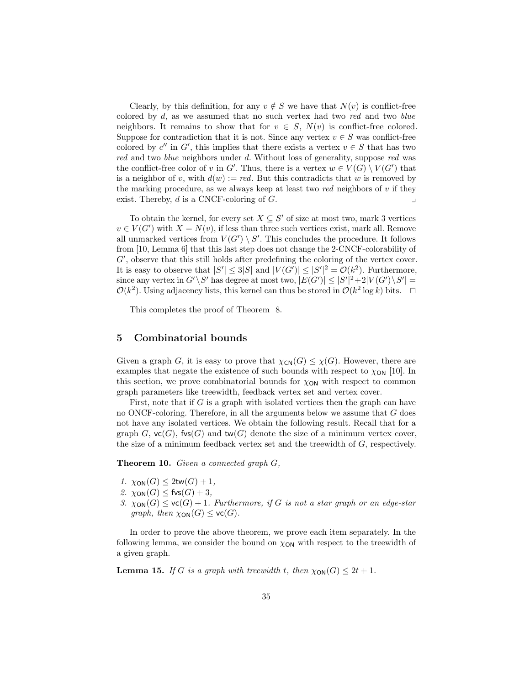Clearly, by this definition, for any  $v \notin S$  we have that  $N(v)$  is conflict-free colored by  $d$ , as we assumed that no such vertex had two red and two blue neighbors. It remains to show that for  $v \in S$ ,  $N(v)$  is conflict-free colored. Suppose for contradiction that it is not. Since any vertex  $v \in S$  was conflict-free colored by  $c''$  in G', this implies that there exists a vertex  $v \in S$  that has two red and two blue neighbors under d. Without loss of generality, suppose red was the conflict-free color of v in G'. Thus, there is a vertex  $w \in V(G) \setminus V(G')$  that is a neighbor of v, with  $d(w) := red$ . But this contradicts that w is removed by the marking procedure, as we always keep at least two red neighbors of v if they exist. Thereby,  $d$  is a CNCF-coloring of  $G$ .

To obtain the kernel, for every set  $X \subseteq S'$  of size at most two, mark 3 vertices  $v \in V(G')$  with  $X = N(v)$ , if less than three such vertices exist, mark all. Remove all unmarked vertices from  $V(G') \setminus S'$ . This concludes the procedure. It follows from [\[10,](#page-40-5) Lemma 6] that this last step does not change the 2-CNCF-colorability of  $G'$ , observe that this still holds after predefining the coloring of the vertex cover. It is easy to observe that  $|S'| \leq 3|S|$  and  $|V(G')| \leq |S'|^2 = \mathcal{O}(k^2)$ . Furthermore, since any vertex in  $G'\backslash S'$  has degree at most two,  $|E(G')|\leq |S'|^2+2|V(G')\backslash S'|=$  $\mathcal{O}(k^2)$ . Using adjacency lists, this kernel can thus be stored in  $\mathcal{O}(k^2 \log k)$  bits.  $\Box$ 

This completes the proof of Theorem [8.](#page-30-1)

## <span id="page-34-0"></span>5 Combinatorial bounds

Given a graph G, it is easy to prove that  $\chi_{\text{CN}}(G) \leq \chi(G)$ . However, there are examples that negate the existence of such bounds with respect to  $\chi_{ON}$  [\[10\]](#page-40-5). In this section, we prove combinatorial bounds for  $\chi_{ON}$  with respect to common graph parameters like treewidth, feedback vertex set and vertex cover.

First, note that if  $G$  is a graph with isolated vertices then the graph can have no ONCF-coloring. Therefore, in all the arguments below we assume that  $G$  does not have any isolated vertices. We obtain the following result. Recall that for a graph G,  $\mathsf{vc}(G)$ ,  $\mathsf{fvs}(G)$  and  $\mathsf{tw}(G)$  denote the size of a minimum vertex cover, the size of a minimum feedback vertex set and the treewidth of G, respectively.

<span id="page-34-2"></span>**Theorem 10.** Given a connected graph  $G$ ,

- 1.  $\chi_{\text{ON}}(G) \leq 2\text{tw}(G) + 1$ ,
- 2.  $\chi_{\text{ON}}(G) \leq$  fvs $(G) + 3$ ,
- 3.  $\chi_{\text{ON}}(G) \leq \text{vc}(G) + 1$ . Furthermore, if G is not a star graph or an edge-star graph, then  $\chi_{\text{ON}}(G) \leq \text{vc}(G)$ .

<span id="page-34-1"></span>In order to prove the above theorem, we prove each item separately. In the following lemma, we consider the bound on  $\chi_{ON}$  with respect to the treewidth of a given graph.

**Lemma 15.** If G is a graph with treewidth t, then  $\chi_{\text{ON}}(G) \leq 2t + 1$ .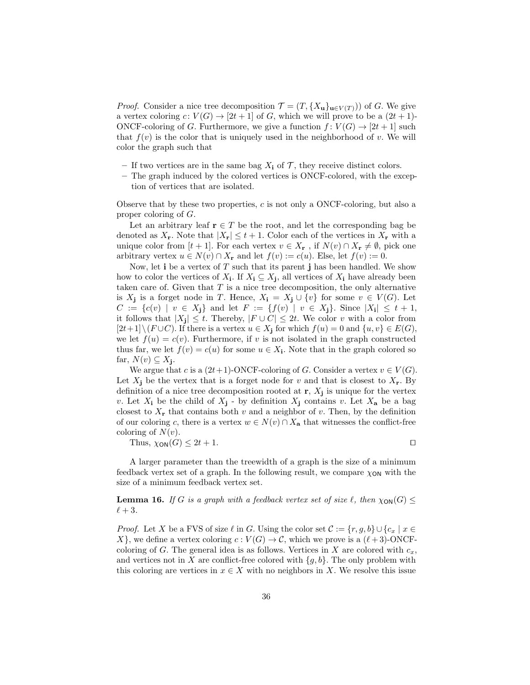*Proof.* Consider a nice tree decomposition  $\mathcal{T} = (T, \{X_{\mathbf{u}}\}_{\mathbf{u}\in V(T)})$  of G. We give a vertex coloring  $c: V(G) \to [2t+1]$  of G, which we will prove to be a  $(2t+1)$ -ONCF-coloring of G. Furthermore, we give a function  $f: V(G) \to [2t+1]$  such that  $f(v)$  is the color that is uniquely used in the neighborhood of v. We will color the graph such that

- If two vertices are in the same bag  $X_i$  of  $\mathcal T$ , they receive distinct colors.
- The graph induced by the colored vertices is ONCF-colored, with the exception of vertices that are isolated.

Observe that by these two properties,  $c$  is not only a ONCF-coloring, but also a proper coloring of G.

Let an arbitrary leaf  $r \in T$  be the root, and let the corresponding bag be denoted as  $X_{\mathbf{r}}$ . Note that  $|X_{\mathbf{r}}| \leq t+1$ . Color each of the vertices in  $X_{\mathbf{r}}$  with a unique color from  $[t + 1]$ . For each vertex  $v \in X_{\mathbf{r}}$ , if  $N(v) \cap X_{\mathbf{r}} \neq \emptyset$ , pick one arbitrary vertex  $u \in N(v) \cap X_r$  and let  $f(v) := c(u)$ . Else, let  $f(v) := 0$ .

Now, let  $\mathbf i$  be a vertex of T such that its parent  $\mathbf j$  has been handled. We show how to color the vertices of  $X_i$ . If  $X_i \subseteq X_j$ , all vertices of  $X_i$  have already been taken care of. Given that  $T$  is a nice tree decomposition, the only alternative is  $X_j$  is a forget node in T. Hence,  $X_i = X_j \cup \{v\}$  for some  $v \in V(G)$ . Let  $C := \{c(v) \mid v \in X_j\}$  and let  $F := \{f(v) \mid v \in X_j\}$ . Since  $|X_i| \leq t+1$ , it follows that  $|X_j| \leq t$ . Thereby,  $|F \cup C| \leq 2t$ . We color v with a color from  $[2t+1]\setminus (F\cup C)$ . If there is a vertex  $u \in X_i$  for which  $f(u) = 0$  and  $\{u, v\} \in E(G)$ , we let  $f(u) = c(v)$ . Furthermore, if v is not isolated in the graph constructed thus far, we let  $f(v) = c(u)$  for some  $u \in X_i$ . Note that in the graph colored so far,  $N(v) \subseteq X_j$ .

We argue that c is a  $(2t+1)$ -ONCF-coloring of G. Consider a vertex  $v \in V(G)$ . Let  $X_j$  be the vertex that is a forget node for v and that is closest to  $X_r$ . By definition of a nice tree decomposition rooted at  $\mathbf{r}, X_{j}$  is unique for the vertex v. Let  $X_i$  be the child of  $X_j$  - by definition  $X_j$  contains v. Let  $X_a$  be a bag closest to  $X_r$  that contains both v and a neighbor of v. Then, by the definition of our coloring c, there is a vertex  $w \in N(v) \cap X_a$  that witnesses the conflict-free coloring of  $N(v)$ .

<span id="page-35-0"></span>Thus,  $\chi_{\text{ON}}(G) \leq 2t + 1$ .

A larger parameter than the treewidth of a graph is the size of a minimum feedback vertex set of a graph. In the following result, we compare  $\chi_{ON}$  with the size of a minimum feedback vertex set.

**Lemma 16.** If G is a graph with a feedback vertex set of size  $\ell$ , then  $\chi_{ON}(G) \leq$  $\ell + 3$ .

*Proof.* Let X be a FVS of size  $\ell$  in G. Using the color set  $\mathcal{C} := \{r, g, b\} \cup \{c_x \mid x \in$ X, we define a vertex coloring  $c: V(G) \to \mathcal{C}$ , which we prove is a  $(\ell + 3)$ -ONCFcoloring of G. The general idea is as follows. Vertices in X are colored with  $c_x$ , and vertices not in X are conflict-free colored with  $\{g, b\}$ . The only problem with this coloring are vertices in  $x \in X$  with no neighbors in X. We resolve this issue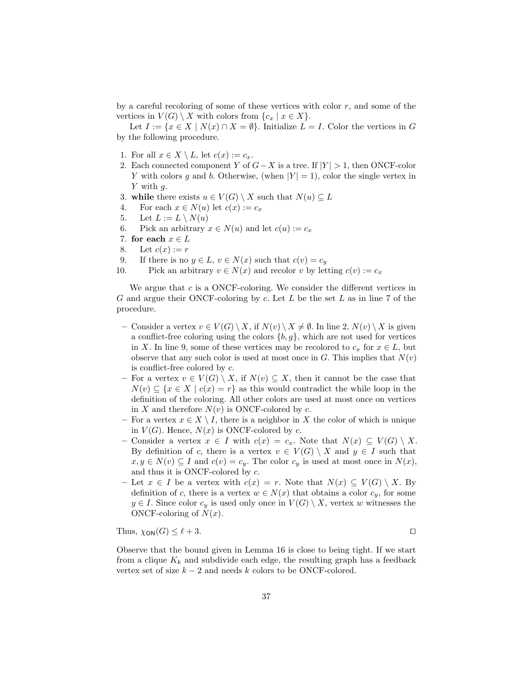by a careful recoloring of some of these vertices with color  $r$ , and some of the vertices in  $V(G) \setminus X$  with colors from  $\{c_x \mid x \in X\}.$ 

Let  $I := \{x \in X \mid N(x) \cap X = \emptyset\}$ . Initialize  $L = I$ . Color the vertices in G by the following procedure.

- 1. For all  $x \in X \setminus L$ , let  $c(x) := c_x$ .
- <span id="page-36-1"></span>2. Each connected component Y of  $G-X$  is a tree. If  $|Y| > 1$ , then ONCF-color Y with colors g and b. Otherwise, (when  $|Y| = 1$ ), color the single vertex in Y with q.
- 3. while there exists  $u \in V(G) \setminus X$  such that  $N(u) \subseteq L$
- 4. For each  $x \in N(u)$  let  $c(x) := c_x$
- 5. Let  $L := L \setminus N(u)$
- 6. Pick an arbitrary  $x \in N(u)$  and let  $c(u) := c_x$
- <span id="page-36-0"></span>7. for each  $x \in L$
- 8. Let  $c(x) := r$
- <span id="page-36-2"></span>9. If there is no  $y \in L$ ,  $v \in N(x)$  such that  $c(v) = c_y$
- 10. Pick an arbitrary  $v \in N(x)$  and recolor v by letting  $c(v) := c_x$

We argue that  $c$  is a ONCF-coloring. We consider the different vertices in G and argue their ONCF-coloring by c. Let  $L$  be the set  $L$  as in line [7](#page-36-0) of the procedure.

- Consider a vertex  $v \in V(G) \setminus X$ , if  $N(v) \setminus X \neq \emptyset$ . In line [2,](#page-36-1)  $N(v) \setminus X$  is given a conflict-free coloring using the colors  $\{b, g\}$ , which are not used for vertices in X. In line [9,](#page-36-2) some of these vertices may be recolored to  $c_x$  for  $x \in L$ , but observe that any such color is used at most once in G. This implies that  $N(v)$ is conflict-free colored by c.
- For a vertex  $v \in V(G) \setminus X$ , if  $N(v) \subseteq X$ , then it cannot be the case that  $N(v) \subseteq \{x \in X \mid c(x) = r\}$  as this would contradict the while loop in the definition of the coloring. All other colors are used at most once on vertices in X and therefore  $N(v)$  is ONCF-colored by c.
- For a vertex  $x \in X \setminus I$ , there is a neighbor in X the color of which is unique in  $V(G)$ . Hence,  $N(x)$  is ONCF-colored by c.
- Consider a vertex  $x \in I$  with  $c(x) = c_x$ . Note that  $N(x) \subseteq V(G) \setminus X$ . By definition of c, there is a vertex  $v \in V(G) \setminus X$  and  $y \in I$  such that  $x, y \in N(v) \subseteq I$  and  $c(v) = c_y$ . The color  $c_y$  is used at most once in  $N(x)$ , and thus it is ONCF-colored by c.
- Let  $x \in I$  be a vertex with  $c(x) = r$ . Note that  $N(x) \subseteq V(G) \setminus X$ . By definition of c, there is a vertex  $w \in N(x)$  that obtains a color  $c_y$ , for some  $y \in I$ . Since color  $c_y$  is used only once in  $V(G) \setminus X$ , vertex w witnesses the ONCF-coloring of  $N(x)$ .

Thus,  $\chi_{\text{ON}}(G) \le \ell + 3$ .

Observe that the bound given in Lemma [16](#page-35-0) is close to being tight. If we start from a clique  $K_k$  and subdivide each edge, the resulting graph has a feedback vertex set of size  $k - 2$  and needs k colors to be ONCF-colored.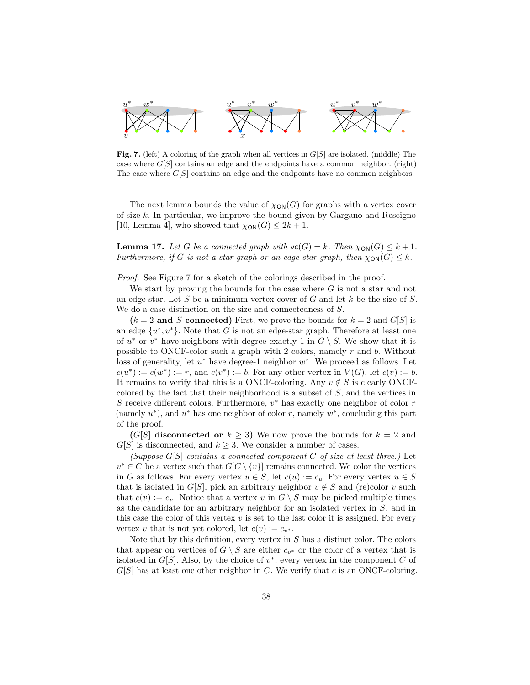

<span id="page-37-0"></span>**Fig. 7.** (left) A coloring of the graph when all vertices in  $G[S]$  are isolated. (middle) The case where  $G[S]$  contains an edge and the endpoints have a common neighbor. (right) The case where  $G[S]$  contains an edge and the endpoints have no common neighbors.

The next lemma bounds the value of  $\chi_{\text{ON}}(G)$  for graphs with a vertex cover of size  $k$ . In particular, we improve the bound given by Gargano and Rescigno [\[10,](#page-40-5) Lemma 4], who showed that  $\chi_{\text{ON}}(G) \leq 2k + 1$ .

<span id="page-37-1"></span>**Lemma 17.** Let G be a connected graph with  $\mathsf{vc}(G) = k$ . Then  $\chi_{\text{ON}}(G) \leq k + 1$ . Furthermore, if G is not a star graph or an edge-star graph, then  $\chi_{\text{ON}}(G) \leq k$ .

Proof. See Figure [7](#page-37-0) for a sketch of the colorings described in the proof.

We start by proving the bounds for the case where  $G$  is not a star and not an edge-star. Let S be a minimum vertex cover of G and let k be the size of S. We do a case distinction on the size and connectedness of S.

 $(k = 2 \text{ and } S \text{ connected})$  First, we prove the bounds for  $k = 2$  and  $G[S]$  is an edge  $\{u^*, v^*\}$ . Note that G is not an edge-star graph. Therefore at least one of  $u^*$  or  $v^*$  have neighbors with degree exactly 1 in  $G \setminus S$ . We show that it is possible to ONCF-color such a graph with 2 colors, namely r and b. Without loss of generality, let  $u^*$  have degree-1 neighbor  $w^*$ . We proceed as follows. Let  $c(u^*) := c(w^*) := r$ , and  $c(v^*) := b$ . For any other vertex in  $V(G)$ , let  $c(v) := b$ . It remains to verify that this is a ONCF-coloring. Any  $v \notin S$  is clearly ONCFcolored by the fact that their neighborhood is a subset of  $S$ , and the vertices in S receive different colors. Furthermore,  $v^*$  has exactly one neighbor of color  $r$ (namely  $u^*$ ), and  $u^*$  has one neighbor of color r, namely  $w^*$ , concluding this part of the proof.

 $(G[S]$  disconnected or  $k \geq 3$ ) We now prove the bounds for  $k = 2$  and  $G[S]$  is disconnected, and  $k \geq 3$ . We consider a number of cases.

(Suppose  $G[S]$  contains a connected component C of size at least three.) Let  $v^* \in C$  be a vertex such that  $G[C \setminus \{v\}]$  remains connected. We color the vertices in G as follows. For every vertex  $u \in S$ , let  $c(u) := c_u$ . For every vertex  $u \in S$ that is isolated in G[S], pick an arbitrary neighbor  $v \notin S$  and (re)color v such that  $c(v) := c_u$ . Notice that a vertex v in  $G \setminus S$  may be picked multiple times as the candidate for an arbitrary neighbor for an isolated vertex in S, and in this case the color of this vertex  $v$  is set to the last color it is assigned. For every vertex v that is not yet colored, let  $c(v) := c_{v^*}$ .

Note that by this definition, every vertex in  $S$  has a distinct color. The colors that appear on vertices of  $G \setminus S$  are either  $c_{v^*}$  or the color of a vertex that is isolated in  $G[S]$ . Also, by the choice of  $v^*$ , every vertex in the component C of  $G[S]$  has at least one other neighbor in C. We verify that c is an ONCF-coloring.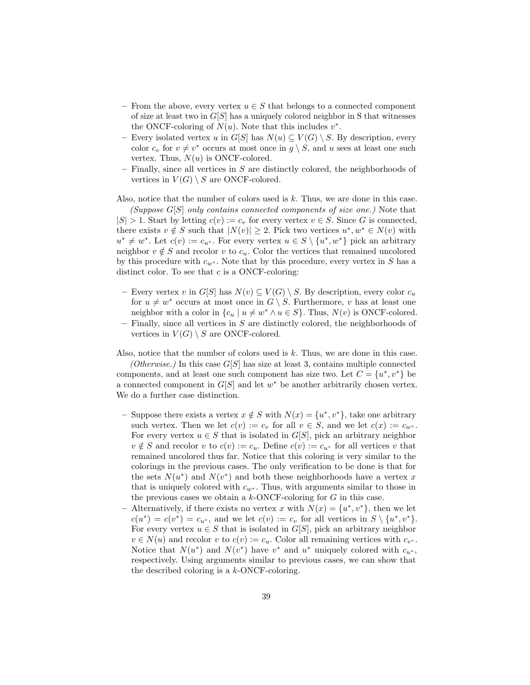- From the above, every vertex  $u \in S$  that belongs to a connected component of size at least two in  $G[S]$  has a uniquely colored neighbor in S that witnesses the ONCF-coloring of  $N(u)$ . Note that this includes  $v^*$ .
- Every isolated vertex u in  $G[S]$  has  $N(u) \subseteq V(G) \setminus S$ . By description, every color  $c_v$  for  $v \neq v^*$  occurs at most once in  $g \setminus S$ , and u sees at least one such vertex. Thus,  $N(u)$  is ONCF-colored.
- Finally, since all vertices in  $S$  are distinctly colored, the neighborhoods of vertices in  $V(G) \setminus S$  are ONCF-colored.

Also, notice that the number of colors used is k. Thus, we are done in this case.

(Suppose  $G[S]$  only contains connected components of size one.) Note that  $|S| > 1$ . Start by letting  $c(v) := c_v$  for every vertex  $v \in S$ . Since G is connected, there exists  $v \notin S$  such that  $|N(v)| \geq 2$ . Pick two vertices  $u^*, w^* \in N(v)$  with  $u^* \neq w^*$ . Let  $c(v) := c_{u^*}$ . For every vertex  $u \in S \setminus \{u^*, w^*\}$  pick an arbitrary neighbor  $v \notin S$  and recolor v to  $c_u$ . Color the vertices that remained uncolored by this procedure with  $c_{w^*}$ . Note that by this procedure, every vertex in S has a distinct color. To see that  $c$  is a ONCF-coloring:

- Every vertex v in  $G[S]$  has  $N(v) \subseteq V(G) \setminus S$ . By description, every color  $c_u$ for  $u \neq w^*$  occurs at most once in  $G \setminus S$ . Furthermore, v has at least one neighbor with a color in  $\{c_u \mid u \neq w^* \land u \in S\}$ . Thus,  $N(v)$  is ONCF-colored.
- $-$  Finally, since all vertices in  $S$  are distinctly colored, the neighborhoods of vertices in  $V(G) \setminus S$  are ONCF-colored.

Also, notice that the number of colors used is  $k$ . Thus, we are done in this case.

(Otherwise.) In this case  $G[S]$  has size at least 3, contains multiple connected components, and at least one such component has size two. Let  $C = \{u^*, v^*\}$  be a connected component in  $G[S]$  and let  $w^*$  be another arbitrarily chosen vertex. We do a further case distinction.

- Suppose there exists a vertex  $x \notin S$  with  $N(x) = \{u^*, v^*\}$ , take one arbitrary such vertex. Then we let  $c(v) := c_v$  for all  $v \in S$ , and we let  $c(x) := c_{w^*}$ . For every vertex  $u \in S$  that is isolated in  $G[S]$ , pick an arbitrary neighbor  $v \notin S$  and recolor v to  $c(v) := c_u$ . Define  $c(v) := c_{u^*}$  for all vertices v that remained uncolored thus far. Notice that this coloring is very similar to the colorings in the previous cases. The only verification to be done is that for the sets  $N(u^*)$  and  $N(v^*)$  and both these neighborhoods have a vertex x that is uniquely colored with  $c_{w^*}$ . Thus, with arguments similar to those in the previous cases we obtain a  $k$ -ONCF-coloring for  $G$  in this case.
- Alternatively, if there exists no vertex x with  $N(x) = \{u^*, v^*\}$ , then we let  $c(u^*) = c(v^*) = c_{u^*}$ , and we let  $c(v) := c_v$  for all vertices in  $S \setminus \{u^*, v^*\}.$ For every vertex  $u \in S$  that is isolated in  $G[S]$ , pick an arbitrary neighbor  $v \in N(u)$  and recolor v to  $c(v) := c_u$ . Color all remaining vertices with  $c_{v^*}$ . Notice that  $N(u^*)$  and  $N(v^*)$  have  $v^*$  and  $u^*$  uniquely colored with  $c_{u^*}$ , respectively. Using arguments similar to previous cases, we can show that the described coloring is a k-ONCF-coloring.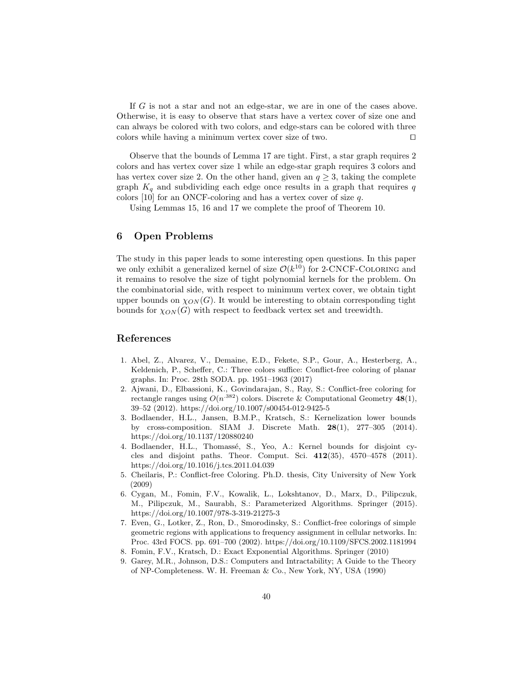If G is not a star and not an edge-star, we are in one of the cases above. Otherwise, it is easy to observe that stars have a vertex cover of size one and can always be colored with two colors, and edge-stars can be colored with three colors while having a minimum vertex cover size of two.  $\Box$ 

Observe that the bounds of Lemma [17](#page-37-1) are tight. First, a star graph requires 2 colors and has vertex cover size 1 while an edge-star graph requires 3 colors and has vertex cover size 2. On the other hand, given an  $q \geq 3$ , taking the complete graph  $K_q$  and subdividing each edge once results in a graph that requires q colors [\[10\]](#page-40-5) for an ONCF-coloring and has a vertex cover of size q.

Using Lemmas [15,](#page-34-1) [16](#page-35-0) and [17](#page-37-1) we complete the proof of Theorem [10.](#page-34-2)

## 6 Open Problems

The study in this paper leads to some interesting open questions. In this paper we only exhibit a generalized kernel of size  $\mathcal{O}(k^{10})$  for 2-CNCF-COLORING and it remains to resolve the size of tight polynomial kernels for the problem. On the combinatorial side, with respect to minimum vertex cover, we obtain tight upper bounds on  $\chi_{ON}(G)$ . It would be interesting to obtain corresponding tight bounds for  $\chi_{ON}(G)$  with respect to feedback vertex set and treewidth.

# References

- <span id="page-39-7"></span>1. Abel, Z., Alvarez, V., Demaine, E.D., Fekete, S.P., Gour, A., Hesterberg, A., Keldenich, P., Scheffer, C.: Three colors suffice: Conflict-free coloring of planar graphs. In: Proc. 28th SODA. pp. 1951–1963 (2017)
- <span id="page-39-1"></span>2. Ajwani, D., Elbassioni, K., Govindarajan, S., Ray, S.: Conflict-free coloring for rectangle ranges using  $O(n^{382})$  colors. Discrete & Computational Geometry 48(1), 39–52 (2012). https://doi.org/10.1007/s00454-012-9425-5
- <span id="page-39-5"></span>3. Bodlaender, H.L., Jansen, B.M.P., Kratsch, S.: Kernelization lower bounds by cross-composition. SIAM J. Discrete Math. 28(1), 277–305 (2014). https://doi.org/10.1137/120880240
- <span id="page-39-4"></span>4. Bodlaender, H.L., Thomassé, S., Yeo, A.: Kernel bounds for disjoint cycles and disjoint paths. Theor. Comput. Sci. 412(35), 4570–4578 (2011). https://doi.org/10.1016/j.tcs.2011.04.039
- <span id="page-39-2"></span>5. Cheilaris, P.: Conflict-free Coloring. Ph.D. thesis, City University of New York (2009)
- <span id="page-39-3"></span>6. Cygan, M., Fomin, F.V., Kowalik, L., Lokshtanov, D., Marx, D., Pilipczuk, M., Pilipczuk, M., Saurabh, S.: Parameterized Algorithms. Springer (2015). https://doi.org/10.1007/978-3-319-21275-3
- <span id="page-39-0"></span>7. Even, G., Lotker, Z., Ron, D., Smorodinsky, S.: Conflict-free colorings of simple geometric regions with applications to frequency assignment in cellular networks. In: Proc. 43rd FOCS. pp. 691–700 (2002). https://doi.org/10.1109/SFCS.2002.1181994
- <span id="page-39-6"></span>8. Fomin, F.V., Kratsch, D.: Exact Exponential Algorithms. Springer (2010)
- <span id="page-39-8"></span>9. Garey, M.R., Johnson, D.S.: Computers and Intractability; A Guide to the Theory of NP-Completeness. W. H. Freeman & Co., New York, NY, USA (1990)